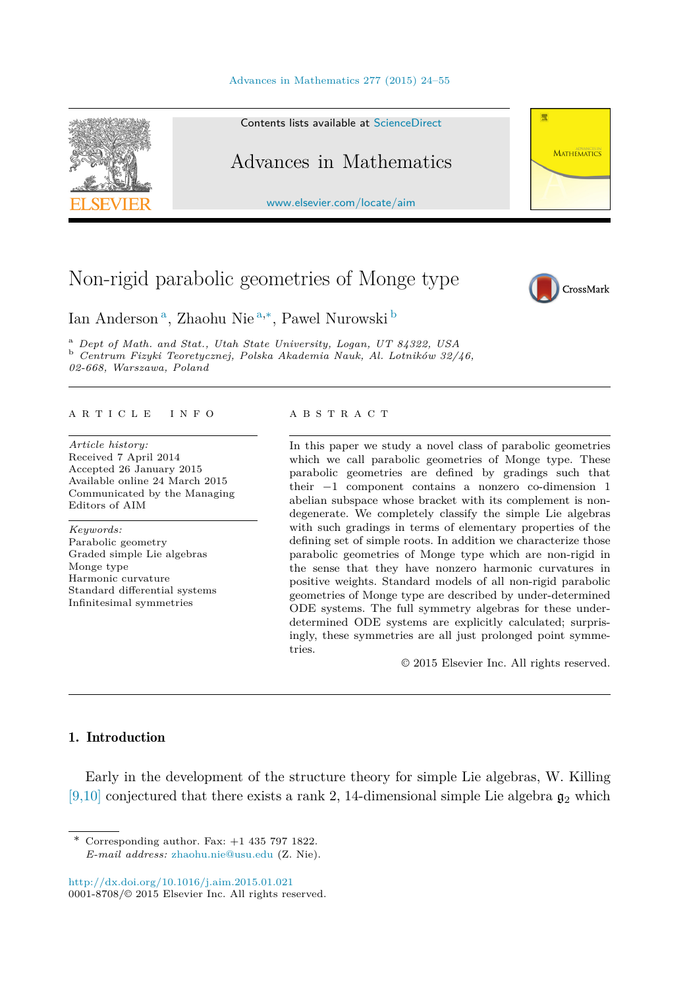



Contents lists available at [ScienceDirect](http://www.ScienceDirect.com/)

# Advances in Mathematics

[www.elsevier.com/locate/aim](http://www.elsevier.com/locate/aim)

# Non-rigid parabolic geometries of Monge type



**MATHEMATICS** 

厥

Ian Anderson <sup>a</sup>, Zhaohu Nie <sup>a</sup>*,*∗, Pawel Nurowski <sup>b</sup>

<sup>a</sup> Dept of Math. and Stat., Utah State University, Logan, UT 84322, USA<br><sup>b</sup> Centrum Fizyki Teoretycznej, Polska Akademia Nauk, Al. Lotników 32/46, *02-668, Warszawa, Poland*

#### A R T I C L E I N F O A B S T R A C T

*Article history:* Received 7 April 2014 Accepted 26 January 2015 Available online 24 March 2015 Communicated by the Managing Editors of AIM

*Keywords:* Parabolic geometry Graded simple Lie algebras Monge type Harmonic curvature Standard differential systems Infinitesimal symmetries

In this paper we study a novel class of parabolic geometries which we call parabolic geometries of Monge type. These parabolic geometries are defined by gradings such that their −1 component contains a nonzero co-dimension 1 abelian subspace whose bracket with its complement is nondegenerate. We completely classify the simple Lie algebras with such gradings in terms of elementary properties of the defining set of simple roots. In addition we characterize those parabolic geometries of Monge type which are non-rigid in the sense that they have nonzero harmonic curvatures in positive weights. Standard models of all non-rigid parabolic geometries of Monge type are described by under-determined ODE systems. The full symmetry algebras for these underdetermined ODE systems are explicitly calculated; surprisingly, these symmetries are all just prolonged point symmetries.

© 2015 Elsevier Inc. All rights reserved.

# 1. Introduction

Early in the development of the structure theory for simple Lie algebras, W. Killing [\[9,10\]](#page-30-0) conjectured that there exists a rank 2, 14-dimensional simple Lie algebra  $\mathfrak{g}_2$  which

<http://dx.doi.org/10.1016/j.aim.2015.01.021> 0001-8708/© 2015 Elsevier Inc. All rights reserved.

<sup>\*</sup> Corresponding author. Fax:  $+1$  435 797 1822. *E-mail address:* [zhaohu.nie@usu.edu](mailto:zhaohu.nie@usu.edu) (Z. Nie).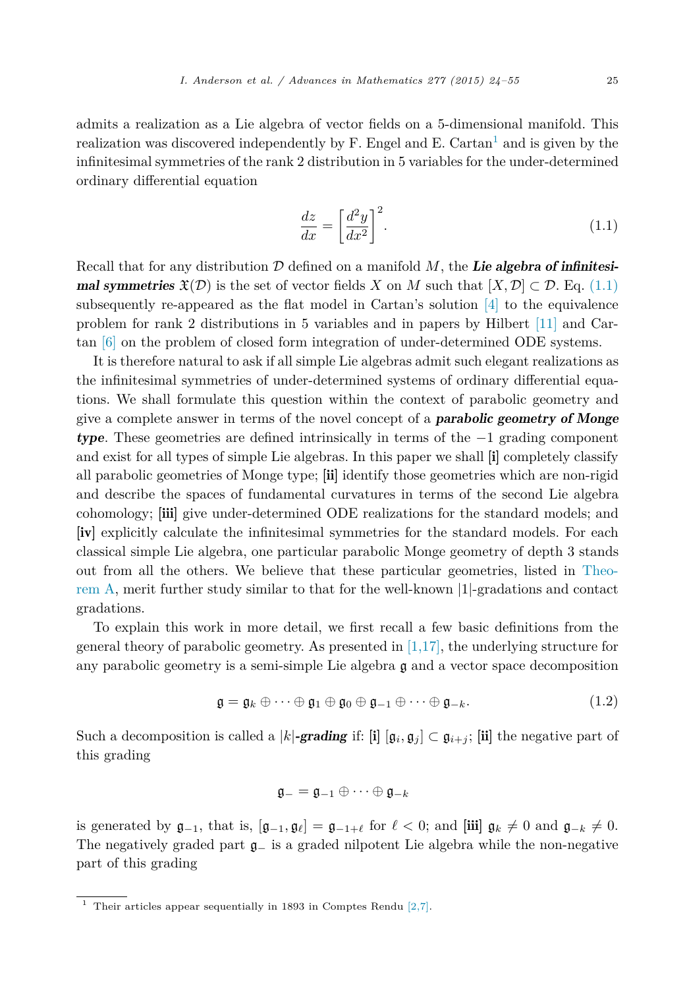<span id="page-1-0"></span>admits a realization as a Lie algebra of vector fields on a 5-dimensional manifold. This realization was discovered independently by F. Engel and E. Cartan<sup>1</sup> and is given by the infinitesimal symmetries of the rank 2 distribution in 5 variables for the under-determined ordinary differential equation

$$
\frac{dz}{dx} = \left[\frac{d^2y}{dx^2}\right]^2.
$$
\n(1.1)

Recall that for any distribution D defined on a manifold *M*, the *Lie algebra of infinitesimal symmetries*  $\mathfrak{X}(\mathcal{D})$  is the set of vector fields *X* on *M* such that  $[X, \mathcal{D}] \subset \mathcal{D}$ . Eq. (1.1) subsequently re-appeared as the flat model in Cartan's solution  $[4]$  to the equivalence problem for rank 2 distributions in 5 variables and in papers by Hilbert [\[11\]](#page-31-0) and Cartan [\[6\]](#page-30-0) on the problem of closed form integration of under-determined ODE systems.

It is therefore natural to ask if all simple Lie algebras admit such elegant realizations as the infinitesimal symmetries of under-determined systems of ordinary differential equations. We shall formulate this question within the context of parabolic geometry and give a complete answer in terms of the novel concept of a *parabolic geometry of Monge type*. These geometries are defined intrinsically in terms of the −1 grading component and exist for all types of simple Lie algebras. In this paper we shall [i] completely classify all parabolic geometries of Monge type; [ii] identify those geometries which are non-rigid and describe the spaces of fundamental curvatures in terms of the second Lie algebra cohomology; [iii] give under-determined ODE realizations for the standard models; and [iv] explicitly calculate the infinitesimal symmetries for the standard models. For each classical simple Lie algebra, one particular parabolic Monge geometry of depth 3 stands out from all the others. We believe that these particular geometries, listed in [Theo](#page-3-0)[rem A,](#page-3-0) merit further study similar to that for the well-known |1|-gradations and contact gradations.

To explain this work in more detail, we first recall a few basic definitions from the general theory of parabolic geometry. As presented in  $[1,17]$ , the underlying structure for any parabolic geometry is a semi-simple Lie algebra  $\mathfrak g$  and a vector space decomposition

$$
\mathfrak{g} = \mathfrak{g}_k \oplus \cdots \oplus \mathfrak{g}_1 \oplus \mathfrak{g}_0 \oplus \mathfrak{g}_{-1} \oplus \cdots \oplus \mathfrak{g}_{-k}.
$$
 (1.2)

Such a decomposition is called a |*k*|*-grading* if: [i]  $[\mathfrak{g}_i, \mathfrak{g}_j] \subset \mathfrak{g}_{i+j}$ ; [ii] the negative part of this grading

$$
\mathfrak{g}_- = \mathfrak{g}_{-1} \oplus \cdots \oplus \mathfrak{g}_{-k}
$$

is generated by  $\mathfrak{g}_{-1}$ , that is,  $[\mathfrak{g}_{-1}, \mathfrak{g}_{\ell}] = \mathfrak{g}_{-1+\ell}$  for  $\ell < 0$ ; and  $[\mathbf{iii}] \mathfrak{g}_k \neq 0$  and  $\mathfrak{g}_{-k} \neq 0$ . The negatively graded part  $\mathfrak{g}_-$  is a graded nilpotent Lie algebra while the non-negative part of this grading

<sup>&</sup>lt;sup>1</sup> Their articles appear sequentially in 1893 in Comptes Rendu  $[2,7]$ .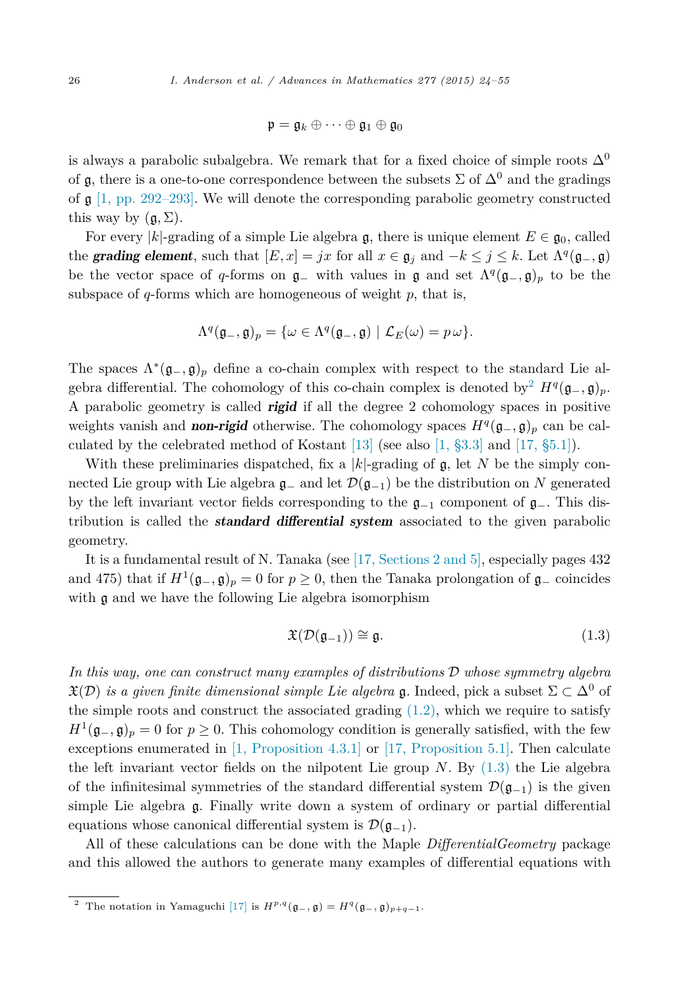$$
\mathfrak{p}=\mathfrak{g}_k\oplus\cdots\oplus\mathfrak{g}_1\oplus\mathfrak{g}_0
$$

<span id="page-2-0"></span>is always a parabolic subalgebra. We remark that for a fixed choice of simple roots  $\Delta^0$ of g, there is a one-to-one correspondence between the subsets  $\Sigma$  of  $\Delta^0$  and the gradings of  $\mathfrak{g}$  [1, [pp. 292–293\].](#page-30-0) We will denote the corresponding parabolic geometry constructed this way by  $(a, \Sigma)$ .

For every |k|-grading of a simple Lie algebra g, there is unique element  $E \in \mathfrak{g}_0$ , called the **grading element**, such that  $[E, x] = jx$  for all  $x \in \mathfrak{g}_j$  and  $-k \leq j \leq k$ . Let  $\Lambda^q(\mathfrak{g}_-, \mathfrak{g})$ be the vector space of *q*-forms on  $\mathfrak{g}_-$  with values in  $\mathfrak{g}$  and set  $\Lambda^q(\mathfrak{g}_-,\mathfrak{g})_p$  to be the subspace of *q*-forms which are homogeneous of weight *p*, that is,

$$
\Lambda^{q}(\mathfrak{g}_{-},\mathfrak{g})_{p}=\{\omega\in\Lambda^{q}(\mathfrak{g}_{-},\mathfrak{g})\mid\mathcal{L}_{E}(\omega)=p\,\omega\}.
$$

The spaces  $\Lambda^*(\mathfrak{g}_-, \mathfrak{g})_p$  define a co-chain complex with respect to the standard Lie algebra differential. The cohomology of this co-chain complex is denoted by<sup>2</sup>  $H<sup>q</sup>(\mathfrak{g}_-,\mathfrak{g})_p$ . A parabolic geometry is called *rigid* if all the degree 2 cohomology spaces in positive weights vanish and **non-rigid** otherwise. The cohomology spaces  $H<sup>q</sup>(\mathfrak{g}_-, \mathfrak{g})_p$  can be calculated by the celebrated method of Kostant [\[13\]](#page-31-0) (see also [1, [§3.3\]](#page-30-0) and [17, [§5.1\]\)](#page-31-0).

With these preliminaries dispatched, fix a  $|k|$ -grading of  $\mathfrak{g}$ , let N be the simply connected Lie group with Lie algebra  $\mathfrak{g}_-$  and let  $\mathcal{D}(\mathfrak{g}_{-1})$  be the distribution on N generated by the left invariant vector fields corresponding to the  $\mathfrak{g}_{-1}$  component of  $\mathfrak{g}_{-}$ . This distribution is called the *standard differential system* associated to the given parabolic geometry.

It is a fundamental result of N. Tanaka (see [17, [Sections 2](#page-31-0) and 5], especially pages 432 and 475) that if  $H^1(\mathfrak{g}_-,\mathfrak{g})_p = 0$  for  $p \geq 0$ , then the Tanaka prolongation of  $\mathfrak{g}_-$  coincides with  $\mathfrak g$  and we have the following Lie algebra isomorphism

$$
\mathfrak{X}(\mathcal{D}(\mathfrak{g}_{-1})) \cong \mathfrak{g}.\tag{1.3}
$$

*In this way, one can construct many examples of distributions* D *whose symmetry algebra*  $\mathfrak{X}(\mathcal{D})$  *is a given finite dimensional simple Lie algebra* g. Indeed, pick a subset  $\Sigma \subset \Delta^0$  of the simple roots and construct the associated grading  $(1.2)$ , which we require to satisfy  $H^1(\mathfrak{g}_-, \mathfrak{g})_p = 0$  for  $p \geq 0$ . This cohomology condition is generally satisfied, with the few exceptions enumerated in [1, [Proposition 4.3.1\]](#page-30-0) or [17, [Proposition 5.1\].](#page-31-0) Then calculate the left invariant vector fields on the nilpotent Lie group *N*. By (1.3) the Lie algebra of the infinitesimal symmetries of the standard differential system  $\mathcal{D}(\mathfrak{g}_{-1})$  is the given simple Lie algebra g. Finally write down a system of ordinary or partial differential equations whose canonical differential system is  $\mathcal{D}(\mathfrak{g}_{-1})$ .

All of these calculations can be done with the Maple *DifferentialGeometry* package and this allowed the authors to generate many examples of differential equations with

<sup>&</sup>lt;sup>2</sup> The notation in Yamaguchi [\[17\]](#page-31-0) is  $H^{p,q}(\mathfrak{g}_-,\mathfrak{g}) = H^q(\mathfrak{g}_-,\mathfrak{g})_{p+q-1}.$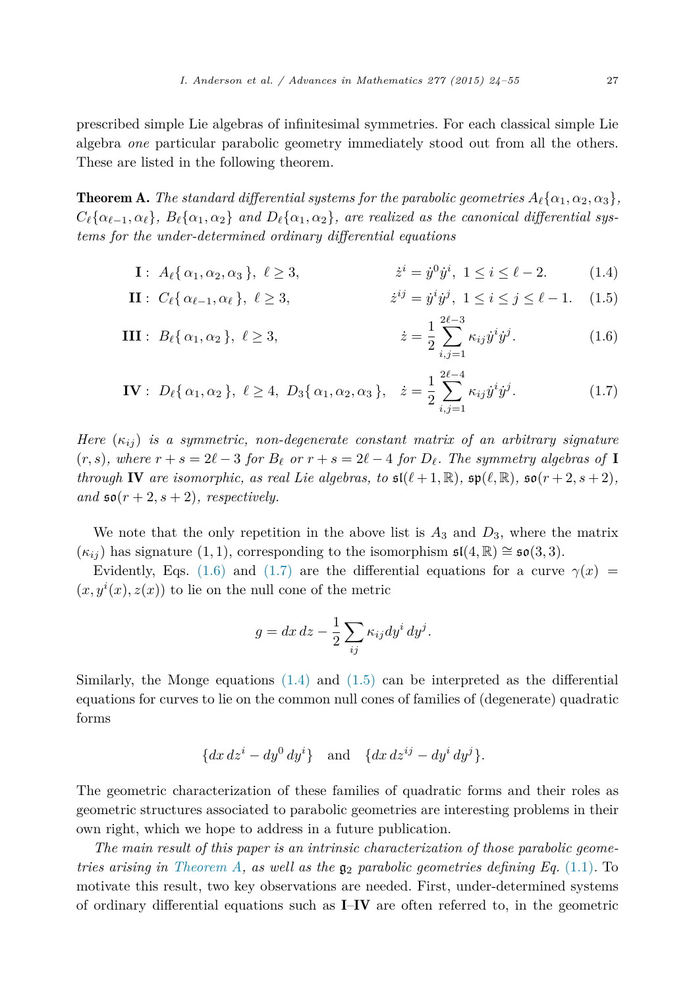<span id="page-3-0"></span>prescribed simple Lie algebras of infinitesimal symmetries. For each classical simple Lie algebra *one* particular parabolic geometry immediately stood out from all the others. These are listed in the following theorem.

**Theorem A.** The standard differential systems for the parabolic geometries  $A_{\ell}\{\alpha_1, \alpha_2, \alpha_3\}$ ,  $C_{\ell}\{\alpha_{\ell-1},\alpha_{\ell}\}, B_{\ell}\{\alpha_1,\alpha_2\}$  and  $D_{\ell}\{\alpha_1,\alpha_2\},$  are realized as the canonical differential sys*tems for the under-determined ordinary differential equations*

I: 
$$
A_{\ell} \{ \alpha_1, \alpha_2, \alpha_3 \}, \ell \ge 3,
$$
  $\dot{z}^i = \dot{y}^0 \dot{y}^i, 1 \le i \le \ell - 2.$  (1.4)

**II**: 
$$
C_{\ell} \{ \alpha_{\ell-1}, \alpha_{\ell} \}, \ \ell \ge 3,
$$
  $\qquad \qquad \dot{z}^{ij} = \dot{y}^{i} \dot{y}^{j}, \ 1 \le i \le j \le \ell - 1.$  (1.5)

III: 
$$
B_{\ell} \{ \alpha_1, \alpha_2 \}, \ \ell \ge 3,
$$
  $\qquad \qquad \dot{z} = \frac{1}{2} \sum_{i,j=1}^{2\ell-3} \kappa_{ij} \dot{y}^i \dot{y}^j.$  (1.6)

**IV**: 
$$
D_{\ell}\{\alpha_1, \alpha_2\}, \ell \ge 4, D_3\{\alpha_1, \alpha_2, \alpha_3\}, \quad \dot{z} = \frac{1}{2} \sum_{i,j=1}^{2\ell-4} \kappa_{ij} \dot{y}^i \dot{y}^j.
$$
 (1.7)

*Here*  $(\kappa_{ij})$  *is a symmetric, non-degenerate constant matrix of an arbitrary signature*  $(r, s)$ , where  $r + s = 2\ell - 3$  for  $B_{\ell}$  or  $r + s = 2\ell - 4$  for  $D_{\ell}$ . The symmetry algebras of **I** *through* IV are *isomorphic,* as real Lie algebras, to  $\mathfrak{sl}(\ell+1,\mathbb{R})$ ,  $\mathfrak{sp}(\ell,\mathbb{R})$ ,  $\mathfrak{so}(r+2,s+2)$ , *and*  $\mathfrak{so}(r+2, s+2)$ *, respectively.* 

We note that the only repetition in the above list is  $A_3$  and  $D_3$ , where the matrix  $(\kappa_{ij})$  has signature  $(1, 1)$ , corresponding to the isomorphism  $\mathfrak{sl}(4, \mathbb{R}) \cong \mathfrak{so}(3, 3)$ .

Evidently, Eqs. (1.6) and (1.7) are the differential equations for a curve  $\gamma(x)$  =  $(x, y^i(x), z(x))$  to lie on the null cone of the metric

$$
g = dx dz - \frac{1}{2} \sum_{ij} \kappa_{ij} dy^i dy^j.
$$

Similarly, the Monge equations  $(1.4)$  and  $(1.5)$  can be interpreted as the differential equations for curves to lie on the common null cones of families of (degenerate) quadratic forms

$$
{dx dzi - dy0 dyi} \text{ and } {dx dzij - dyi dyj}.
$$

The geometric characterization of these families of quadratic forms and their roles as geometric structures associated to parabolic geometries are interesting problems in their own right, which we hope to address in a future publication.

*The main result of this paper is an intrinsic characterization of those parabolic geometries arising in Theorem A, as well as the* g<sup>2</sup> *parabolic geometries defining Eq.* [\(1.1\).](#page-1-0) To motivate this result, two key observations are needed. First, under-determined systems of ordinary differential equations such as I–IV are often referred to, in the geometric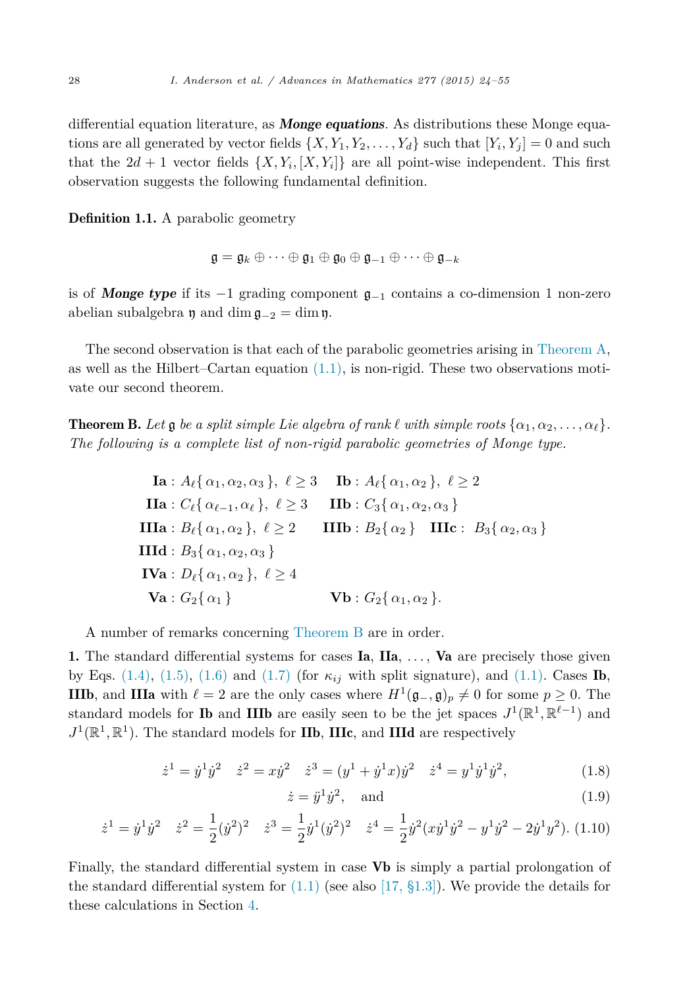<span id="page-4-0"></span>differential equation literature, as *Monge equations*. As distributions these Monge equations are all generated by vector fields  $\{X, Y_1, Y_2, \ldots, Y_d\}$  such that  $[Y_i, Y_j] = 0$  and such that the  $2d + 1$  vector fields  $\{X, Y_i, [X, Y_i]\}$  are all point-wise independent. This first observation suggests the following fundamental definition.

Definition 1.1. A parabolic geometry

$$
\mathfrak{g} = \mathfrak{g}_k \oplus \cdots \oplus \mathfrak{g}_1 \oplus \mathfrak{g}_0 \oplus \mathfrak{g}_{-1} \oplus \cdots \oplus \mathfrak{g}_{-k}
$$

is of *Monge type* if its −1 grading component g−<sup>1</sup> contains a co-dimension 1 non-zero abelian subalgebra  $\mathfrak y$  and dim  $\mathfrak g_{-2} = \dim \mathfrak y$ .

The second observation is that each of the parabolic geometries arising in [Theorem A,](#page-3-0) as well as the Hilbert–Cartan equation  $(1.1)$ , is non-rigid. These two observations motivate our second theorem.

**Theorem B.** Let  $\mathfrak g$  be a split simple Lie algebra of rank  $\ell$  with simple roots  $\{\alpha_1, \alpha_2, \ldots, \alpha_\ell\}$ . *The following is a complete list of non-rigid parabolic geometries of Monge type.*

\n
$$
\text{Ia}: A_{\ell}\{\alpha_1, \alpha_2, \alpha_3\}, \ell \geq 3 \quad\n \text{Ib}: A_{\ell}\{\alpha_1, \alpha_2\}, \ell \geq 2
$$
\n

\n\n
$$
\text{IIa}: C_{\ell}\{\alpha_{\ell-1}, \alpha_{\ell}\}, \ell \geq 3 \quad\n \text{IIb}: C_3\{\alpha_1, \alpha_2, \alpha_3\}
$$
\n

\n\n
$$
\text{IIIa}: B_{\ell}\{\alpha_1, \alpha_2\}, \ell \geq 2 \quad\n \text{IIIb}: B_2\{\alpha_2\} \quad\n \text{IIIc}: B_3\{\alpha_2, \alpha_3\}
$$
\n

\n\n
$$
\text{IIId}: B_3\{\alpha_1, \alpha_2, \alpha_3\}
$$
\n

\n\n
$$
\text{IVA}: D_{\ell}\{\alpha_1, \alpha_2\}, \ell \geq 4
$$
\n

\n\n
$$
\text{Va}: G_2\{\alpha_1\} \quad\n \text{Vb}: G_2\{\alpha_1, \alpha_2\}.
$$
\n

A number of remarks concerning Theorem B are in order.

1. The standard differential systems for cases Ia, IIa, *...* , Va are precisely those given by Eqs.  $(1.4)$ ,  $(1.5)$ ,  $(1.6)$  and  $(1.7)$  (for  $\kappa_{ij}$  with split signature), and  $(1.1)$ . Cases **Ib**, **IIIb**, and **IIIa** with  $\ell = 2$  are the only cases where  $H^1(\mathfrak{g}_-, \mathfrak{g})_p \neq 0$  for some  $p \geq 0$ . The standard models for **Ib** and **IIIb** are easily seen to be the jet spaces  $J^1(\mathbb{R}^1, \mathbb{R}^{\ell-1})$  and  $J^1(\mathbb{R}^1, \mathbb{R}^1)$ . The standard models for **IIb**, **IIIc**, and **IIId** are respectively

$$
\dot{z}^1 = \dot{y}^1 \dot{y}^2 \quad \dot{z}^2 = x\dot{y}^2 \quad \dot{z}^3 = (y^1 + \dot{y}^1 x)\dot{y}^2 \quad \dot{z}^4 = y^1 \dot{y}^1 \dot{y}^2,\tag{1.8}
$$

$$
\dot{z} = \ddot{y}^1 \dot{y}^2, \quad \text{and} \tag{1.9}
$$

$$
\dot{z}^1 = \dot{y}^1 \dot{y}^2 \quad \dot{z}^2 = \frac{1}{2} (\dot{y}^2)^2 \quad \dot{z}^3 = \frac{1}{2} \dot{y}^1 (\dot{y}^2)^2 \quad \dot{z}^4 = \frac{1}{2} \dot{y}^2 (x \dot{y}^1 \dot{y}^2 - y^1 \dot{y}^2 - 2 \dot{y}^1 y^2). \tag{1.10}
$$

Finally, the standard differential system in case Vb is simply a partial prolongation of the standard differential system for  $(1.1)$  (see also [17, [§1.3\]\)](#page-31-0). We provide the details for these calculations in Section [4.](#page-18-0)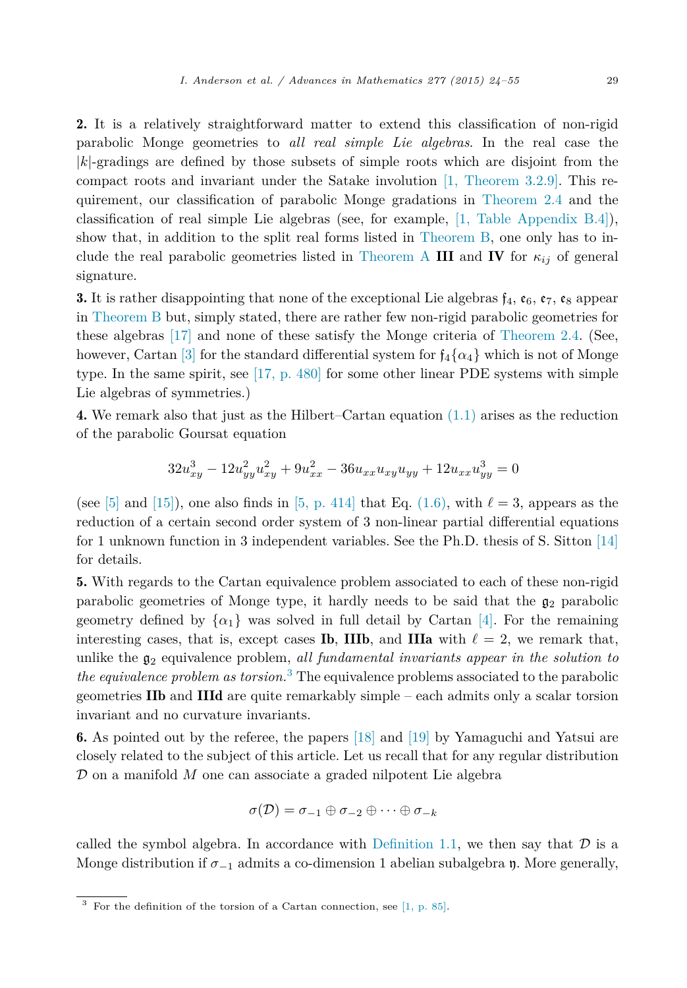2. It is a relatively straightforward matter to extend this classification of non-rigid parabolic Monge geometries to *all real simple Lie algebras*. In the real case the |*k*|-gradings are defined by those subsets of simple roots which are disjoint from the compact roots and invariant under the Satake involution [1, [Theorem 3.2.9\].](#page-30-0) This requirement, our classification of parabolic Monge gradations in [Theorem 2.4](#page-9-0) and the classification of real simple Lie algebras (see, for example, [1, Table [Appendix B.4\]\)](#page-30-0), show that, in addition to the split real forms listed in [Theorem B,](#page-4-0) one only has to in-clude the real parabolic geometries listed in [Theorem A](#page-3-0) III and IV for  $\kappa_{ij}$  of general signature.

**3.** It is rather disappointing that none of the exceptional Lie algebras  $f_4$ ,  $\mathfrak{e}_6$ ,  $\mathfrak{e}_7$ ,  $\mathfrak{e}_8$  appear in [Theorem B](#page-4-0) but, simply stated, there are rather few non-rigid parabolic geometries for these algebras [\[17\]](#page-31-0) and none of these satisfy the Monge criteria of [Theorem 2.4.](#page-9-0) (See, however, Cartan [\[3\]](#page-30-0) for the standard differential system for  $f_4\{\alpha_4\}$  which is not of Monge type. In the same spirit, see [17, [p. 480\]](#page-31-0) for some other linear PDE systems with simple Lie algebras of symmetries.)

4. We remark also that just as the Hilbert–Cartan equation [\(1.1\)](#page-1-0) arises as the reduction of the parabolic Goursat equation

$$
32u_{xy}^3 - 12u_{yy}^2u_{xy}^2 + 9u_{xx}^2 - 36u_{xx}u_{xy}u_{yy} + 12u_{xx}u_{yy}^3 = 0
$$

(see  $[5]$  and  $[15]$ ), one also finds in  $[5, p. 414]$  $[5, p. 414]$  that Eq.  $(1.6)$ , with  $\ell = 3$ , appears as the reduction of a certain second order system of 3 non-linear partial differential equations for 1 unknown function in 3 independent variables. See the Ph.D. thesis of S. Sitton [\[14\]](#page-31-0) for details.

5. With regards to the Cartan equivalence problem associated to each of these non-rigid parabolic geometries of Monge type, it hardly needs to be said that the  $\mathfrak{g}_2$  parabolic geometry defined by  $\{\alpha_1\}$  was solved in full detail by Cartan [\[4\].](#page-30-0) For the remaining interesting cases, that is, except cases **Ib**, **IIIb**, and **IIIa** with  $\ell = 2$ , we remark that, unlike the g<sup>2</sup> equivalence problem, *all fundamental invariants appear in the solution to the equivalence problem as torsion.*<sup>3</sup> The equivalence problems associated to the parabolic geometries IIb and IIId are quite remarkably simple – each admits only a scalar torsion invariant and no curvature invariants.

6. As pointed out by the referee, the papers [\[18\]](#page-31-0) and [\[19\]](#page-31-0) by Yamaguchi and Yatsui are closely related to the subject of this article. Let us recall that for any regular distribution D on a manifold *M* one can associate a graded nilpotent Lie algebra

$$
\sigma(\mathcal{D}) = \sigma_{-1} \oplus \sigma_{-2} \oplus \cdots \oplus \sigma_{-k}
$$

called the symbol algebra. In accordance with [Definition 1.1,](#page-4-0) we then say that  $\mathcal D$  is a Monge distribution if  $\sigma_{-1}$  admits a co-dimension 1 abelian subalgebra  $\mathfrak{y}$ . More generally,

 $3$  For the definition of the torsion of a Cartan connection, see [1, [p. 85\].](#page-30-0)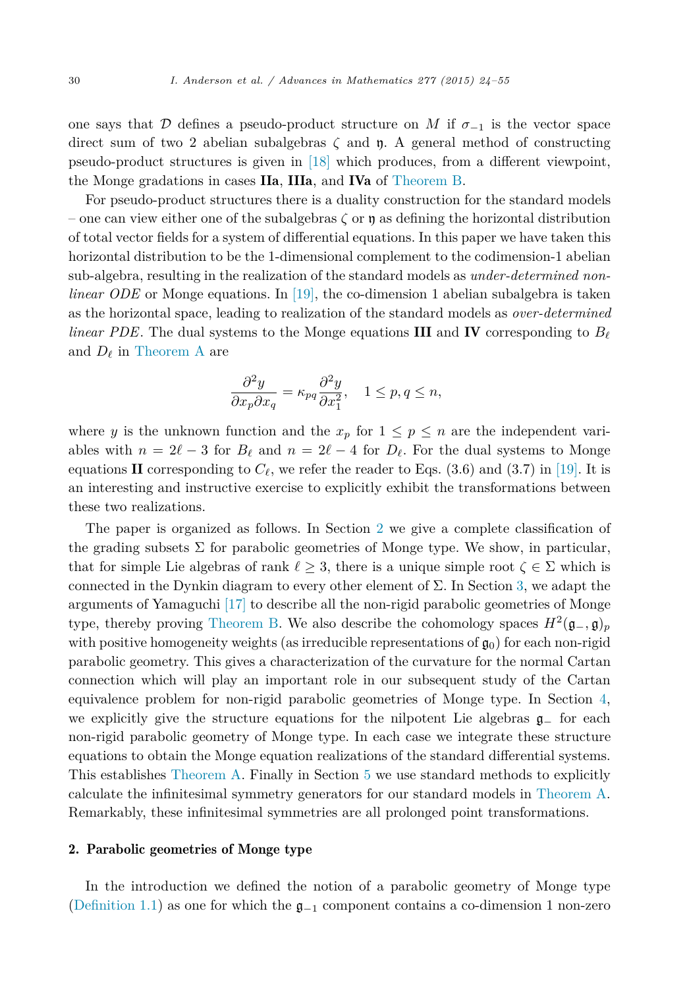one says that D defines a pseudo-product structure on M if  $\sigma_{-1}$  is the vector space direct sum of two 2 abelian subalgebras *ζ* and y. A general method of constructing pseudo-product structures is given in [\[18\]](#page-31-0) which produces, from a different viewpoint, the Monge gradations in cases IIa, IIIa, and IVa of [Theorem B.](#page-4-0)

For pseudo-product structures there is a duality construction for the standard models – one can view either one of the subalgebras  $\zeta$  or  $\mathfrak y$  as defining the horizontal distribution of total vector fields for a system of differential equations. In this paper we have taken this horizontal distribution to be the 1-dimensional complement to the codimension-1 abelian sub-algebra, resulting in the realization of the standard models as *under-determined nonlinear ODE* or Monge equations. In [\[19\],](#page-31-0) the co-dimension 1 abelian subalgebra is taken as the horizontal space, leading to realization of the standard models as *over-determined linear PDE*. The dual systems to the Monge equations **III** and **IV** corresponding to  $B_{\ell}$ and  $D_{\ell}$  in [Theorem A](#page-3-0) are

$$
\frac{\partial^2 y}{\partial x_p \partial x_q} = \kappa_{pq} \frac{\partial^2 y}{\partial x_1^2}, \quad 1 \le p, q \le n,
$$

where *y* is the unknown function and the  $x_p$  for  $1 \leq p \leq n$  are the independent variables with  $n = 2\ell - 3$  for  $B_{\ell}$  and  $n = 2\ell - 4$  for  $D_{\ell}$ . For the dual systems to Monge equations II corresponding to  $C_{\ell}$ , we refer the reader to Eqs.  $(3.6)$  and  $(3.7)$  in [\[19\].](#page-31-0) It is an interesting and instructive exercise to explicitly exhibit the transformations between these two realizations.

The paper is organized as follows. In Section 2 we give a complete classification of the grading subsets  $\Sigma$  for parabolic geometries of Monge type. We show, in particular, that for simple Lie algebras of rank  $\ell \geq 3$ , there is a unique simple root  $\zeta \in \Sigma$  which is connected in the Dynkin diagram to every other element of  $\Sigma$ . In Section [3,](#page-12-0) we adapt the arguments of Yamaguchi [\[17\]](#page-31-0) to describe all the non-rigid parabolic geometries of Monge type, thereby proving [Theorem B.](#page-4-0) We also describe the cohomology spaces  $H^2(\mathfrak{g}_-,\mathfrak{g})_p$ with positive homogeneity weights (as irreducible representations of  $\mathfrak{g}_0$ ) for each non-rigid parabolic geometry. This gives a characterization of the curvature for the normal Cartan connection which will play an important role in our subsequent study of the Cartan equivalence problem for non-rigid parabolic geometries of Monge type. In Section [4,](#page-18-0) we explicitly give the structure equations for the nilpotent Lie algebras g<sup>−</sup> for each non-rigid parabolic geometry of Monge type. In each case we integrate these structure equations to obtain the Monge equation realizations of the standard differential systems. This establishes [Theorem A.](#page-3-0) Finally in Section [5](#page-28-0) we use standard methods to explicitly calculate the infinitesimal symmetry generators for our standard models in [Theorem A.](#page-3-0) Remarkably, these infinitesimal symmetries are all prolonged point transformations.

### 2. Parabolic geometries of Monge type

In the introduction we defined the notion of a parabolic geometry of Monge type [\(Definition 1.1\)](#page-4-0) as one for which the  $\mathfrak{g}_{-1}$  component contains a co-dimension 1 non-zero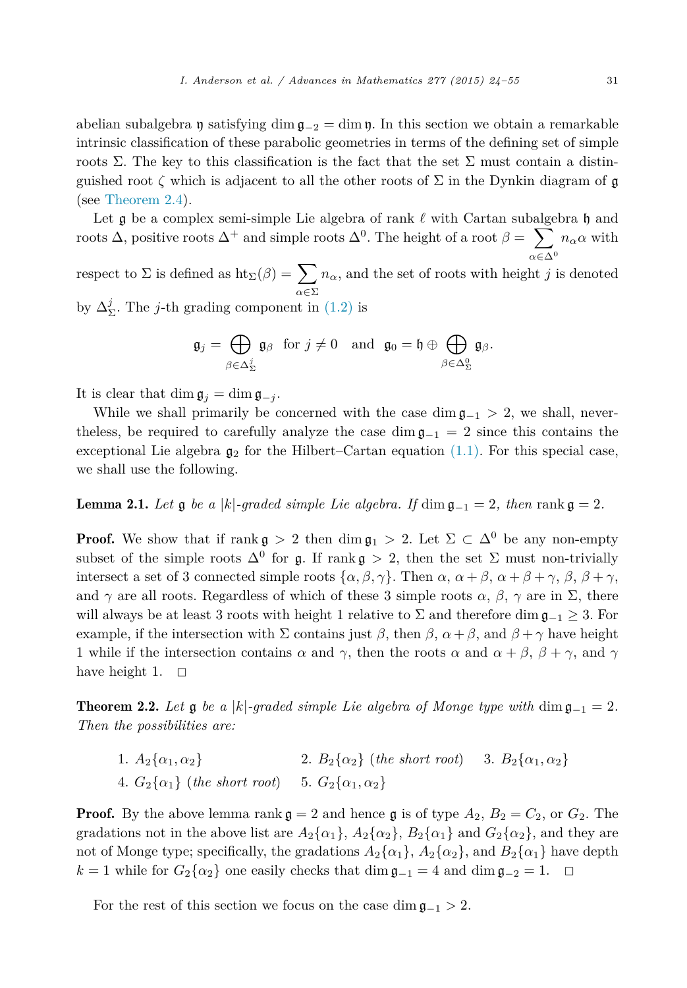<span id="page-7-0"></span>abelian subalgebra  $\mathfrak y$  satisfying dim  $\mathfrak g_{-2} = \dim \mathfrak y$ . In this section we obtain a remarkable intrinsic classification of these parabolic geometries in terms of the defining set of simple roots Σ. The key to this classification is the fact that the set Σ must contain a distinguished root  $\zeta$  which is adjacent to all the other roots of  $\Sigma$  in the Dynkin diagram of  $\mathfrak g$ (see [Theorem 2.4\)](#page-9-0).

Let **g** be a complex semi-simple Lie algebra of rank  $\ell$  with Cartan subalgebra  $\mathfrak{h}$  and roots  $\Delta$ , positive roots  $\Delta^+$  and simple roots  $\Delta^0$ . The height of a root  $\beta = \sum$ *α*∈Δ<sup>0</sup>  $n_{\alpha}$ *α* with

respect to  $\Sigma$  is defined as  $\text{ht}_{\Sigma}(\beta) = \sum$ *α*∈Σ  $n_{\alpha}$ , and the set of roots with height *j* is denoted by  $\Delta^j_{\Sigma}$ . The *j*-th grading component in [\(1.2\)](#page-1-0) is

$$
\mathfrak{g}_j = \bigoplus_{\beta \in \Delta^j_{\Sigma}} \mathfrak{g}_{\beta} \text{ for } j \neq 0 \text{ and } \mathfrak{g}_0 = \mathfrak{h} \oplus \bigoplus_{\beta \in \Delta^0_{\Sigma}} \mathfrak{g}_{\beta}.
$$

It is clear that dim  $\mathfrak{g}_i = \dim \mathfrak{g}_{-i}$ .

While we shall primarily be concerned with the case dim  $\mathfrak{g}_{-1} > 2$ , we shall, nevertheless, be required to carefully analyze the case dim  $\mathfrak{g}_{-1} = 2$  since this contains the exceptional Lie algebra  $g_2$  for the Hilbert–Cartan equation  $(1.1)$ . For this special case, we shall use the following.

**Lemma 2.1.** Let  $\mathfrak{g}$  be a |k|-graded simple Lie algebra. If dim  $\mathfrak{g}_{-1} = 2$ , then rank  $\mathfrak{g} = 2$ .

**Proof.** We show that if rank  $\mathfrak{g} > 2$  then dim  $\mathfrak{g}_1 > 2$ . Let  $\Sigma \subset \Delta^0$  be any non-empty subset of the simple roots  $\Delta^0$  for g. If rank g > 2, then the set  $\Sigma$  must non-trivially intersect a set of 3 connected simple roots  $\{\alpha, \beta, \gamma\}$ . Then  $\alpha, \alpha + \beta, \alpha + \beta + \gamma, \beta, \beta + \gamma,$ and  $\gamma$  are all roots. Regardless of which of these 3 simple roots  $\alpha$ ,  $\beta$ ,  $\gamma$  are in  $\Sigma$ , there will always be at least 3 roots with height 1 relative to  $\Sigma$  and therefore dim  $\mathfrak{g}_{-1} \geq 3$ . For example, if the intersection with  $\Sigma$  contains just  $\beta$ , then  $\beta$ ,  $\alpha + \beta$ , and  $\beta + \gamma$  have height 1 while if the intersection contains  $\alpha$  and  $\gamma$ , then the roots  $\alpha$  and  $\alpha + \beta$ ,  $\beta + \gamma$ , and  $\gamma$ have height 1.  $\Box$ 

**Theorem 2.2.** Let  $\mathfrak{g}$  be a |k|-graded simple Lie algebra of Monge type with dim  $\mathfrak{g}_{-1} = 2$ . *Then the possibilities are:*

1*.*  $A_2\{\alpha_1, \alpha_2\}$  2*.*  $B_2\{\alpha_2\}$  (*the short root*) 3*.*  $B_2\{\alpha_1, \alpha_2\}$ 4*.*  $G_2\{\alpha_1\}$  (*the short root*) 5*.*  $G_2\{\alpha_1, \alpha_2\}$ 

**Proof.** By the above lemma rank  $\mathfrak{g} = 2$  and hence  $\mathfrak{g}$  is of type  $A_2$ ,  $B_2 = C_2$ , or  $G_2$ . The gradations not in the above list are  $A_2\{\alpha_1\}$ ,  $A_2\{\alpha_2\}$ ,  $B_2\{\alpha_1\}$  and  $G_2\{\alpha_2\}$ , and they are not of Monge type; specifically, the gradations  $A_2\{\alpha_1\}$ ,  $A_2\{\alpha_2\}$ , and  $B_2\{\alpha_1\}$  have depth  $k = 1$  while for  $G_2\{\alpha_2\}$  one easily checks that dim  $\mathfrak{g}_{-1} = 4$  and dim  $\mathfrak{g}_{-2} = 1$ . □

For the rest of this section we focus on the case dim  $\mathfrak{g}_{-1} > 2$ .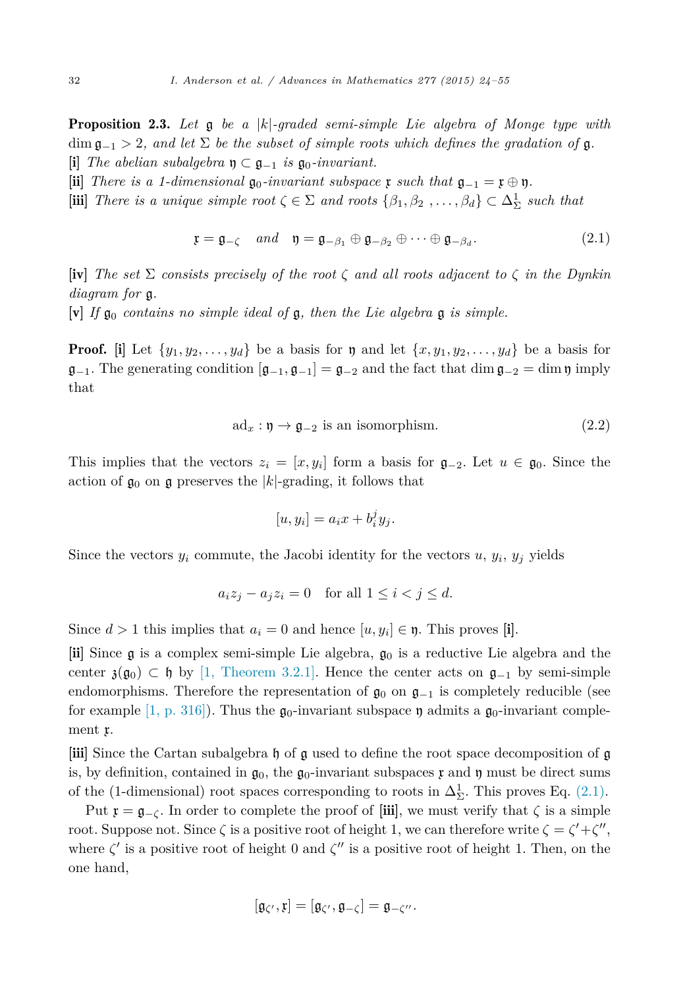<span id="page-8-0"></span>Proposition 2.3. *Let* g *be a* |*k*|*-graded semi-simple Lie algebra of Monge type with*  $\dim \mathfrak{g}_{-1} > 2$ , and let  $\Sigma$  be the subset of simple roots which defines the gradation of  $\mathfrak{g}$ .  $[i]$  *The abelian subalgebra*  $\mathfrak{y} \subset \mathfrak{g}_{-1}$  *is*  $\mathfrak{g}_0$ *-invariant.* 

- $\left[\text{ii}\right]$  *There is a 1-dimensional*  $\mathfrak{g}_0$ *-invariant subspace*  $\mathfrak{x}$  *such that*  $\mathfrak{g}_{-1} = \mathfrak{x} \oplus \mathfrak{y}$ *.*
- $[\textbf{iii}]$  *There is a unique simple root*  $\zeta \in \Sigma$  *and roots*  $\{\beta_1, \beta_2, \dots, \beta_d\} \subset \Delta_{\Sigma}^1$  *such that*

$$
\mathfrak{x} = \mathfrak{g}_{-\zeta} \quad and \quad \mathfrak{y} = \mathfrak{g}_{-\beta_1} \oplus \mathfrak{g}_{-\beta_2} \oplus \cdots \oplus \mathfrak{g}_{-\beta_d}.
$$
 (2.1)

 $\textbf{iv}$  *The set*  $\Sigma$  *consists* precisely of the root  $\zeta$  and all roots adjacent to  $\zeta$  in the Dynkin *diagram for* g*.*

 $[v]$  *If*  $\mathfrak{g}_0$  *contains no simple ideal of*  $\mathfrak{g}$ *, then the Lie algebra*  $\mathfrak{g}$  *is simple.* 

**Proof.** [i] Let  $\{y_1, y_2, \ldots, y_d\}$  be a basis for y and let  $\{x, y_1, y_2, \ldots, y_d\}$  be a basis for  $\mathfrak{g}_{-1}$ . The generating condition  $[\mathfrak{g}_{-1}, \mathfrak{g}_{-1}] = \mathfrak{g}_{-2}$  and the fact that dim  $\mathfrak{g}_{-2} = \dim \mathfrak{y}$  imply that

$$
ad_x: \mathfrak{y} \to \mathfrak{g}_{-2} \text{ is an isomorphism.} \tag{2.2}
$$

This implies that the vectors  $z_i = [x, y_i]$  form a basis for  $\mathfrak{g}_{-2}$ . Let  $u \in \mathfrak{g}_0$ . Since the action of  $\mathfrak{g}_0$  on  $\mathfrak{g}$  preserves the  $|k|$ -grading, it follows that

$$
[u, y_i] = a_i x + b_i^j y_j.
$$

Since the vectors  $y_i$  commute, the Jacobi identity for the vectors  $u, y_i, y_j$  yields

$$
a_i z_j - a_j z_i = 0 \quad \text{for all } 1 \le i < j \le d.
$$

Since  $d > 1$  this implies that  $a_i = 0$  and hence  $[u, y_i] \in \mathfrak{y}$ . This proves [i].

[ii] Since  $\mathfrak g$  is a complex semi-simple Lie algebra,  $\mathfrak g_0$  is a reductive Lie algebra and the center  $\mathfrak{z}(\mathfrak{g}_0) \subset \mathfrak{h}$  by [1, [Theorem 3.2.1\].](#page-30-0) Hence the center acts on  $\mathfrak{g}_{-1}$  by semi-simple endomorphisms. Therefore the representation of  $\mathfrak{g}_0$  on  $\mathfrak{g}_{-1}$  is completely reducible (see for example [1, [p. 316\]\)](#page-30-0). Thus the  $\mathfrak{g}_0$ -invariant subspace  $\mathfrak{y}_0$  admits a  $\mathfrak{g}_0$ -invariant complement x.

[iii] Since the Cartan subalgebra h of g used to define the root space decomposition of g is, by definition, contained in  $\mathfrak{g}_0$ , the  $\mathfrak{g}_0$ -invariant subspaces x and y must be direct sums of the (1-dimensional) root spaces corresponding to roots in  $\Delta^1_{\Sigma}$ . This proves Eq. (2.1).

Put  $\mathfrak{x} = \mathfrak{g}_{-\mathcal{C}}$ . In order to complete the proof of [iii], we must verify that  $\zeta$  is a simple root. Suppose not. Since  $\zeta$  is a positive root of height 1, we can therefore write  $\zeta = \zeta' + \zeta''$ , where  $\zeta'$  is a positive root of height 0 and  $\zeta''$  is a positive root of height 1. Then, on the one hand,

$$
[\mathfrak{g}_{\zeta'},\mathfrak{x}]=[\mathfrak{g}_{\zeta'},\mathfrak{g}_{-\zeta}]=\mathfrak{g}_{-\zeta''}.
$$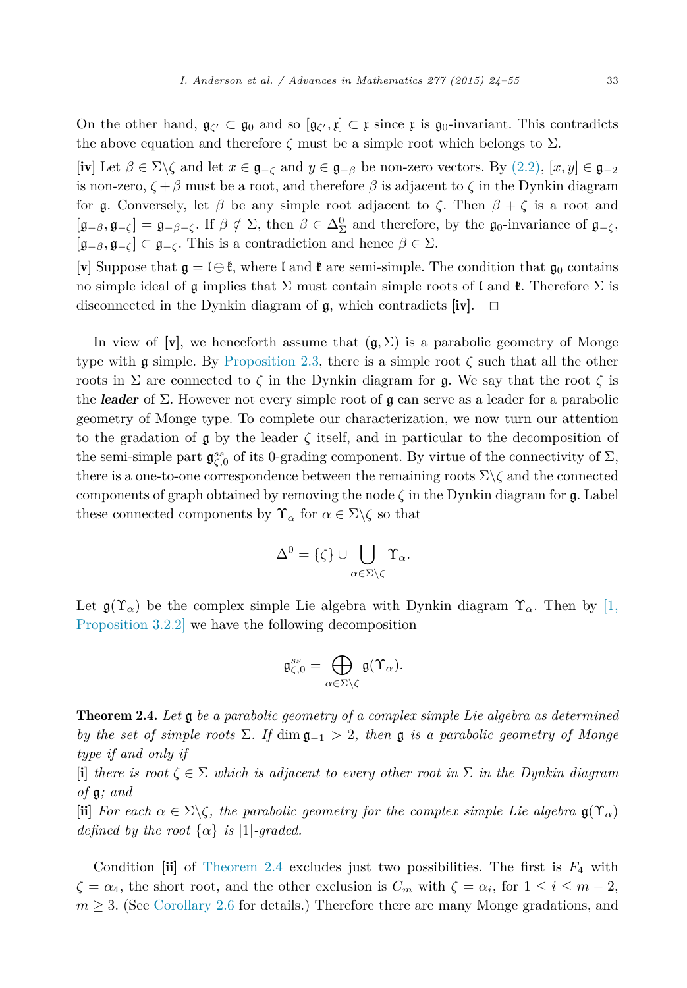<span id="page-9-0"></span>On the other hand,  $\mathfrak{g}_{\zeta'} \subset \mathfrak{g}_0$  and so  $[\mathfrak{g}_{\zeta'}, \mathfrak{x}] \subset \mathfrak{x}$  since  $\mathfrak{x}$  is  $\mathfrak{g}_0$ -invariant. This contradicts the above equation and therefore  $\zeta$  must be a simple root which belongs to  $\Sigma$ .

[iv] Let  $\beta \in \Sigma \backslash \zeta$  and let  $x \in \mathfrak{g}_{-\zeta}$  and  $y \in \mathfrak{g}_{-\beta}$  be non-zero vectors. By  $(2.2), [x, y] \in \mathfrak{g}_{-2}$  $(2.2), [x, y] \in \mathfrak{g}_{-2}$ is non-zero,  $\zeta + \beta$  must be a root, and therefore  $\beta$  is adjacent to  $\zeta$  in the Dynkin diagram for g. Conversely, let  $\beta$  be any simple root adjacent to  $\zeta$ . Then  $\beta + \zeta$  is a root and  $[\mathfrak{g}_{-\beta}, \mathfrak{g}_{-\zeta}] = \mathfrak{g}_{-\beta-\zeta}$ . If  $\beta \notin \Sigma$ , then  $\beta \in \Delta_{\Sigma}^0$  and therefore, by the  $\mathfrak{g}_0$ -invariance of  $\mathfrak{g}_{-\zeta}$ ,  $[\mathfrak{g}_{-\beta}, \mathfrak{g}_{-\zeta}] \subset \mathfrak{g}_{-\zeta}$ . This is a contradiction and hence  $\beta \in \Sigma$ .

[v] Suppose that  $\mathfrak{g} = \mathfrak{l} \oplus \mathfrak{k}$ , where  $\mathfrak{l}$  and  $\mathfrak{k}$  are semi-simple. The condition that  $\mathfrak{g}_0$  contains no simple ideal of  $\mathfrak g$  implies that  $\Sigma$  must contain simple roots of l and  $\mathfrak k$ . Therefore  $\Sigma$  is disconnected in the Dynkin diagram of  $\mathfrak{g}$ , which contradicts  $[\mathbf{iv}]$ .  $\Box$ 

In view of [**v**], we henceforth assume that  $(g, \Sigma)$  is a parabolic geometry of Monge type with g simple. By [Proposition 2.3,](#page-8-0) there is a simple root *ζ* such that all the other roots in Σ are connected to  $\zeta$  in the Dynkin diagram for **g**. We say that the root  $\zeta$  is the *leader* of Σ. However not every simple root of g can serve as a leader for a parabolic geometry of Monge type. To complete our characterization, we now turn our attention to the gradation of  $\mathfrak g$  by the leader  $\zeta$  itself, and in particular to the decomposition of the semi-simple part  $\mathfrak{g}^{ss}_{\zeta,0}$  of its 0-grading component. By virtue of the connectivity of  $\Sigma$ , there is a one-to-one correspondence between the remaining roots Σ\*ζ* and the connected components of graph obtained by removing the node *ζ* in the Dynkin diagram for g. Label these connected components by  $\Upsilon_{\alpha}$  for  $\alpha \in \Sigma \backslash \zeta$  so that

$$
\Delta^0 = \{\zeta\} \cup \bigcup_{\alpha \in \Sigma \setminus \zeta} \Upsilon_{\alpha}.
$$

Let  $\mathfrak{g}(\Upsilon_\alpha)$  be the complex simple Lie algebra with Dynkin diagram  $\Upsilon_\alpha$ . Then by  $\ket{1}$ , [Proposition 3.2.2\]](#page-30-0) we have the following decomposition

$$
\mathfrak{g}_{\zeta,0}^{ss}=\bigoplus_{\alpha\in\Sigma\backslash\zeta}\mathfrak{g}(\Upsilon_\alpha).
$$

Theorem 2.4. *Let* g *be a parabolic geometry of a complex simple Lie algebra as determined by the set of simple* roots  $\Sigma$ *. If* dim  $\mathfrak{g}_{-1} > 2$ , *then*  $\mathfrak{g}$  *is a parabolic geometry of Monge type if and only if*

 $\{i\}$  *there is root*  $\zeta \in \Sigma$  *which is adjacent to every other root in*  $\Sigma$  *in the Dynkin diagram of* g*; and*

 $\textbf{ii}$  *For* each  $\alpha \in \Sigma \backslash \zeta$ , the parabolic geometry for the complex simple Lie algebra  $\mathfrak{g}(\Upsilon_{\alpha})$ *defined by the root*  $\{\alpha\}$  *is*  $|1|$ *-graded.* 

Condition [ii] of Theorem 2.4 excludes just two possibilities. The first is *F*<sup>4</sup> with  $\zeta = \alpha_4$ , the short root, and the other exclusion is  $C_m$  with  $\zeta = \alpha_i$ , for  $1 \leq i \leq m-2$ ,  $m \geq 3$ . (See [Corollary 2.6](#page-12-0) for details.) Therefore there are many Monge gradations, and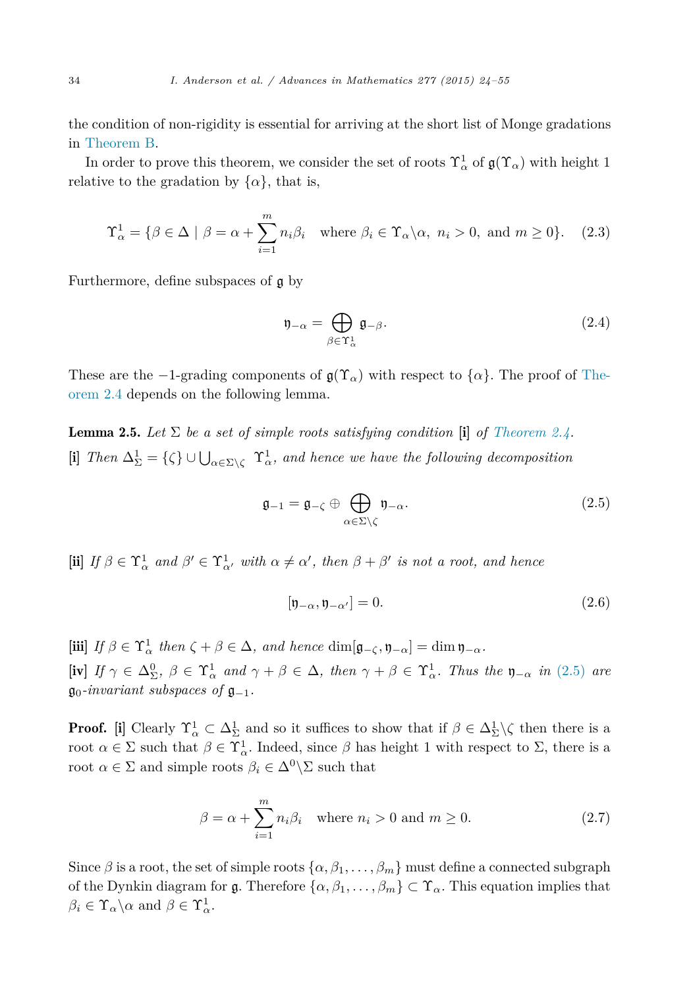<span id="page-10-0"></span>the condition of non-rigidity is essential for arriving at the short list of Monge gradations in [Theorem B.](#page-4-0)

In order to prove this theorem, we consider the set of roots  $\Upsilon^1_\alpha$  of  $\mathfrak{g}(\Upsilon_\alpha)$  with height 1 relative to the gradation by  $\{\alpha\}$ , that is,

$$
\Upsilon_{\alpha}^{1} = \{ \beta \in \Delta \mid \beta = \alpha + \sum_{i=1}^{m} n_{i} \beta_{i} \text{ where } \beta_{i} \in \Upsilon_{\alpha} \setminus \alpha, n_{i} > 0, \text{ and } m \ge 0 \}. \tag{2.3}
$$

Furthermore, define subspaces of g by

$$
\mathfrak{y}_{-\alpha} = \bigoplus_{\beta \in \Upsilon_{\alpha}^{1}} \mathfrak{g}_{-\beta}.
$$
 (2.4)

These are the  $-1$ -grading components of  $\mathfrak{g}(\Upsilon_\alpha)$  with respect to  $\{\alpha\}$ . The proof of [The](#page-9-0)[orem 2.4](#page-9-0) depends on the following lemma.

**Lemma 2.5.** Let  $\Sigma$  be a set of simple roots satisfying condition [i] of [Theorem 2.4.](#page-9-0) [i] *Then* Δ<sup>1</sup> <sup>Σ</sup> = {*ζ*} ∪ *<sup>α</sup>*∈Σ\*<sup>ζ</sup>* <sup>Υ</sup><sup>1</sup> *<sup>α</sup>, and hence we have the following decomposition*

$$
\mathfrak{g}_{-1} = \mathfrak{g}_{-\zeta} \oplus \bigoplus_{\alpha \in \Sigma \setminus \zeta} \mathfrak{y}_{-\alpha}.
$$
 (2.5)

 $\textbf{(ii)}$  *If*  $\beta \in \Upsilon^1_\alpha$  and  $\beta' \in \Upsilon^1_{\alpha'}$  with  $\alpha \neq \alpha'$ , then  $\beta + \beta'$  is not a root, and hence

$$
[\mathfrak{y}_{-\alpha}, \mathfrak{y}_{-\alpha'}] = 0. \tag{2.6}
$$

 $[\textbf{iii}]$  *If*  $\beta \in \Upsilon^1_\alpha$  *then*  $\zeta + \beta \in \Delta$ *, and hence*  $\dim[\mathfrak{g}_{-\zeta}, \mathfrak{y}_{-\alpha}] = \dim \mathfrak{y}_{-\alpha}$ *.*  $\left[\text{iv}\right]$  *If*  $\gamma \in \Delta_{\Sigma}^0$ ,  $\beta \in \Upsilon_{\alpha}^1$  and  $\gamma + \beta \in \Delta$ , then  $\gamma + \beta \in \Upsilon_{\alpha}^1$ . Thus the  $\mathfrak{y}_{-\alpha}$  in (2.5) are  $\mathfrak{g}_0$ -invariant *subspaces* of  $\mathfrak{g}_{-1}$ .

**Proof.** [i] Clearly  $\Upsilon^1_\alpha \subset \Delta^1_\Sigma$  and so it suffices to show that if  $\beta \in \Delta^1_\Sigma \setminus \zeta$  then there is a root  $\alpha \in \Sigma$  such that  $\beta \in \Upsilon^1_\alpha$ . Indeed, since  $\beta$  has height 1 with respect to  $\Sigma$ , there is a root  $\alpha \in \Sigma$  and simple roots  $\beta_i \in \Delta^0 \backslash \Sigma$  such that

$$
\beta = \alpha + \sum_{i=1}^{m} n_i \beta_i \quad \text{where } n_i > 0 \text{ and } m \ge 0. \tag{2.7}
$$

Since  $\beta$  is a root, the set of simple roots  $\{\alpha, \beta_1, \ldots, \beta_m\}$  must define a connected subgraph of the Dynkin diagram for  $\mathfrak{g}$ . Therefore  $\{\alpha, \beta_1, \ldots, \beta_m\} \subset \Upsilon_\alpha$ . This equation implies that  $\beta_i \in \Upsilon_\alpha \backslash \alpha$  and  $\beta \in \Upsilon_\alpha^1$ .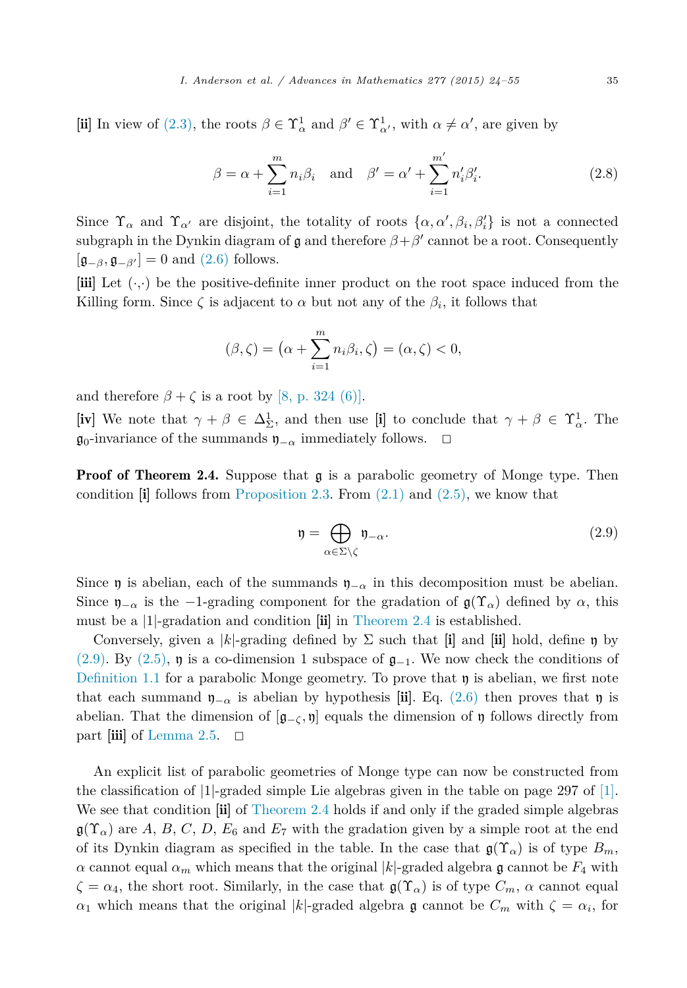[ii] In view of [\(2.3\),](#page-10-0) the roots  $\beta \in \Upsilon^1_\alpha$  and  $\beta' \in \Upsilon^1_{\alpha'}$ , with  $\alpha \neq \alpha'$ , are given by

$$
\beta = \alpha + \sum_{i=1}^{m} n_i \beta_i \quad \text{and} \quad \beta' = \alpha' + \sum_{i=1}^{m'} n'_i \beta'_i.
$$
 (2.8)

Since  $\Upsilon_{\alpha}$  and  $\Upsilon_{\alpha'}$  are disjoint, the totality of roots  $\{\alpha, \alpha', \beta_i, \beta'_i\}$  is not a connected subgraph in the Dynkin diagram of g and therefore  $\beta + \beta'$  cannot be a root. Consequently  $[\mathfrak{g}_{-\beta}, \mathfrak{g}_{-\beta'}] = 0$  and [\(2.6\)](#page-10-0) follows.

[iii] Let (·*,*·) be the positive-definite inner product on the root space induced from the Killing form. Since  $\zeta$  is adjacent to  $\alpha$  but not any of the  $\beta_i$ , it follows that

$$
(\beta,\zeta) = \left(\alpha + \sum_{i=1}^{m} n_i \beta_i, \zeta\right) = (\alpha,\zeta) < 0,
$$

and therefore  $\beta + \zeta$  is a root by [8, [p. 324](#page-30-0) (6)].

[iv] We note that  $\gamma + \beta \in \Delta_{\Sigma}^1$ , and then use [i] to conclude that  $\gamma + \beta \in \Upsilon_{\alpha}^1$ . The  $\mathfrak{g}_0$ -invariance of the summands  $\mathfrak{y}_{-\alpha}$  immediately follows.  $□$ 

**Proof of Theorem 2.4.** Suppose that  $\mathfrak{g}$  is a parabolic geometry of Monge type. Then condition  $\begin{bmatrix} i \end{bmatrix}$  follows from [Proposition 2.3.](#page-8-0) From [\(2.1\)](#page-8-0) and [\(2.5\),](#page-10-0) we know that

$$
\mathfrak{y} = \bigoplus_{\alpha \in \Sigma \backslash \zeta} \mathfrak{y}_{-\alpha}.\tag{2.9}
$$

Since  $\mathfrak y$  is abelian, each of the summands  $\mathfrak y_{-\alpha}$  in this decomposition must be abelian. Since  $\mathfrak{y}_{-\alpha}$  is the −1-grading component for the gradation of  $\mathfrak{g}(\Upsilon_\alpha)$  defined by  $\alpha$ , this must be a |1|-gradation and condition [ii] in [Theorem 2.4](#page-9-0) is established.

Conversely, given a |k|-grading defined by  $\Sigma$  such that [i] and [ii] hold, define  $\eta$  by (2.9). By [\(2.5\),](#page-10-0) **n** is a co-dimension 1 subspace of  $\mathfrak{g}_{-1}$ . We now check the conditions of [Definition 1.1](#page-4-0) for a parabolic Monge geometry. To prove that  $\eta$  is abelian, we first note that each summand  $\mathfrak{y}_{-\alpha}$  is abelian by hypothesis [ii]. Eq. [\(2.6\)](#page-10-0) then proves that  $\mathfrak{y}$  is abelian. That the dimension of  $[g_-\zeta, \eta]$  equals the dimension of y follows directly from part  $\left| \text{iii} \right|$  of [Lemma 2.5.](#page-10-0)  $\Box$ 

An explicit list of parabolic geometries of Monge type can now be constructed from the classification of  $|1|$ -graded simple Lie algebras given in the table on page 297 of  $|1|$ . We see that condition  $\left[\mathbf{ii}\right]$  of [Theorem 2.4](#page-9-0) holds if and only if the graded simple algebras  $\mathfrak{g}(\Upsilon_{\alpha})$  are *A*, *B*, *C*, *D*, *E*<sub>6</sub> and *E*<sub>7</sub> with the gradation given by a simple root at the end of its Dynkin diagram as specified in the table. In the case that  $\mathfrak{g}(\Upsilon_\alpha)$  is of type  $B_m$ , *α* cannot equal  $α<sub>m</sub>$  which means that the original |*k*|-graded algebra **g** cannot be  $F<sub>4</sub>$  with  $\zeta = \alpha_4$ , the short root. Similarly, in the case that  $\mathfrak{g}(\Upsilon_\alpha)$  is of type  $C_m$ ,  $\alpha$  cannot equal *α*<sub>1</sub> which means that the original |*k*|-graded algebra **g** cannot be  $C_m$  with  $\zeta = \alpha_i$ , for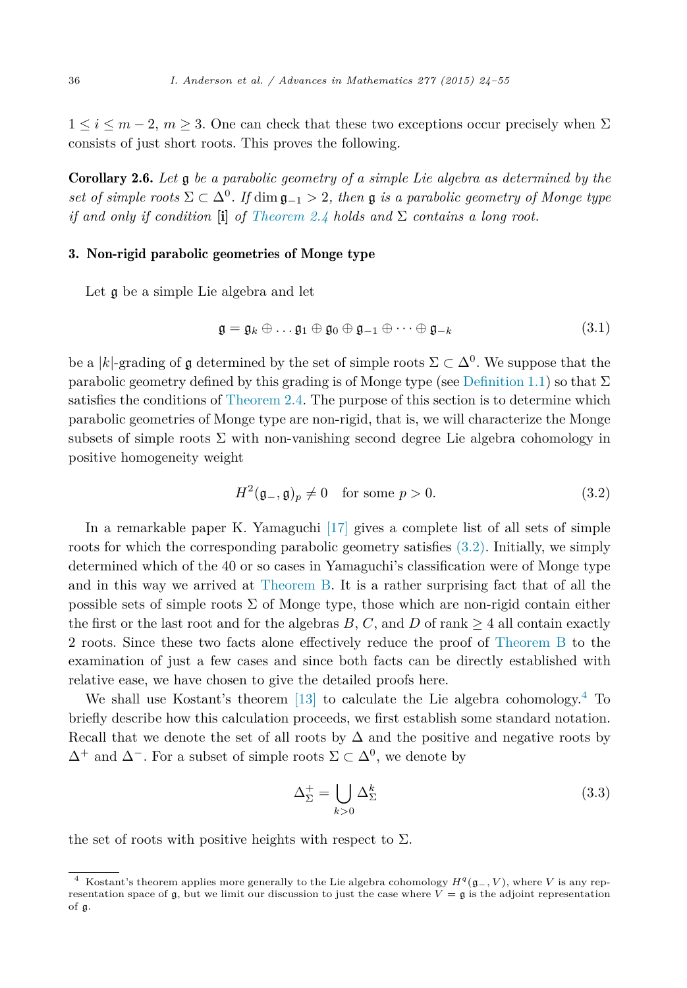<span id="page-12-0"></span> $1 \leq i \leq m-2$ ,  $m \geq 3$ . One can check that these two exceptions occur precisely when  $\Sigma$ consists of just short roots. This proves the following.

Corollary 2.6. *Let* g *be a parabolic geometry of a simple Lie algebra as determined by the*  $s$ *et of simple roots*  $\Sigma \subset \Delta^0$ *. If*  $\dim \mathfrak{q}_{-1} > 2$ *, then*  $\mathfrak{q}$  *is a parabolic geometry of Monge type if* and only if condition [i] of [Theorem 2.4](#page-9-0) holds and  $\Sigma$  *contains* a long root.

# 3. Non-rigid parabolic geometries of Monge type

Let g be a simple Lie algebra and let

$$
\mathfrak{g} = \mathfrak{g}_k \oplus \ldots \mathfrak{g}_1 \oplus \mathfrak{g}_0 \oplus \mathfrak{g}_{-1} \oplus \cdots \oplus \mathfrak{g}_{-k} \tag{3.1}
$$

be a |*k*|-grading of q determined by the set of simple roots  $\Sigma \subset \Delta^0$ . We suppose that the parabolic geometry defined by this grading is of Monge type (see [Definition 1.1\)](#page-4-0) so that  $\Sigma$ satisfies the conditions of [Theorem 2.4.](#page-9-0) The purpose of this section is to determine which parabolic geometries of Monge type are non-rigid, that is, we will characterize the Monge subsets of simple roots  $\Sigma$  with non-vanishing second degree Lie algebra cohomology in positive homogeneity weight

$$
H^2(\mathfrak{g}_-,\mathfrak{g})_p \neq 0 \quad \text{for some } p > 0. \tag{3.2}
$$

In a remarkable paper K. Yamaguchi [\[17\]](#page-31-0) gives a complete list of all sets of simple roots for which the corresponding parabolic geometry satisfies (3.2). Initially, we simply determined which of the 40 or so cases in Yamaguchi's classification were of Monge type and in this way we arrived at [Theorem B.](#page-4-0) It is a rather surprising fact that of all the possible sets of simple roots  $\Sigma$  of Monge type, those which are non-rigid contain either the first or the last root and for the algebras *B*, *C*, and *D* of rank  $\geq$  4 all contain exactly 2 roots. Since these two facts alone effectively reduce the proof of [Theorem B](#page-4-0) to the examination of just a few cases and since both facts can be directly established with relative ease, we have chosen to give the detailed proofs here.

We shall use Kostant's theorem [\[13\]](#page-31-0) to calculate the Lie algebra cohomology.<sup>4</sup> To briefly describe how this calculation proceeds, we first establish some standard notation. Recall that we denote the set of all roots by  $\Delta$  and the positive and negative roots by  $\Delta^+$  and  $\Delta^-$ . For a subset of simple roots  $\Sigma \subset \Delta^0$ , we denote by

$$
\Delta_{\Sigma}^{+} = \bigcup_{k>0} \Delta_{\Sigma}^{k} \tag{3.3}
$$

the set of roots with positive heights with respect to  $\Sigma$ .

<sup>4</sup> Kostant's theorem applies more generally to the Lie algebra cohomology *<sup>H</sup>q*(g−*, <sup>V</sup>* ), where *<sup>V</sup>* is any representation space of  $\mathfrak{g}$ , but we limit our discussion to just the case where  $V = \mathfrak{g}$  is the adjoint representation of g.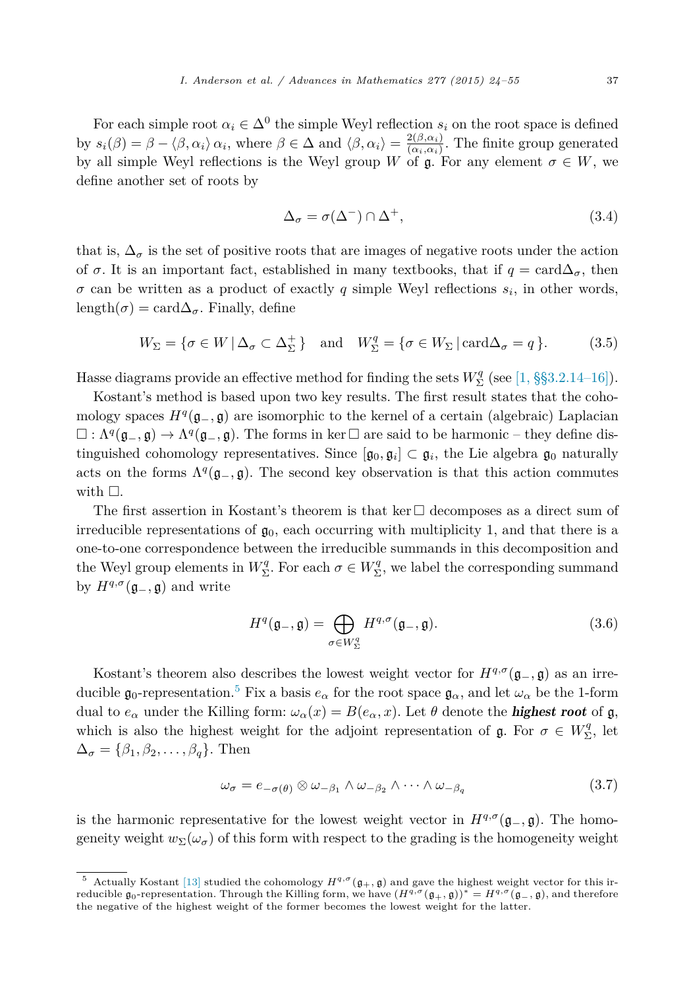<span id="page-13-0"></span>For each simple root  $\alpha_i \in \Delta^0$  the simple Weyl reflection  $s_i$  on the root space is defined by  $s_i(\beta) = \beta - \langle \beta, \alpha_i \rangle \alpha_i$ , where  $\beta \in \Delta$  and  $\langle \beta, \alpha_i \rangle = \frac{2(\beta, \alpha_i)}{(\alpha_i, \alpha_i)}$ . The finite group generated by all simple Weyl reflections is the Weyl group *W* of  $\mathfrak{g}$ . For any element  $\sigma \in W$ , we define another set of roots by

$$
\Delta_{\sigma} = \sigma(\Delta^{-}) \cap \Delta^{+},\tag{3.4}
$$

that is,  $\Delta_{\sigma}$  is the set of positive roots that are images of negative roots under the action of  $\sigma$ . It is an important fact, established in many textbooks, that if  $q = \text{card}\Delta_{\sigma}$ , then  $\sigma$  can be written as a product of exactly *q* simple Weyl reflections  $s_i$ , in other words, length( $\sigma$ ) = card $\Delta_{\sigma}$ . Finally, define

$$
W_{\Sigma} = \{ \sigma \in W \, | \, \Delta_{\sigma} \subset \Delta_{\Sigma}^{+} \} \quad \text{and} \quad W_{\Sigma}^{q} = \{ \sigma \in W_{\Sigma} \, | \, \text{card}\Delta_{\sigma} = q \}. \tag{3.5}
$$

Hasse diagrams provide an effective method for finding the sets  $W^q_{\Sigma}$  (see [1, [§§3.2.14–16\]\)](#page-30-0).

Kostant's method is based upon two key results. The first result states that the cohomology spaces  $H^q(\mathfrak{g}_-, \mathfrak{g})$  are isomorphic to the kernel of a certain (algebraic) Laplacian  $\Box: \Lambda^q(\mathfrak{g}_-, \mathfrak{g}) \to \Lambda^q(\mathfrak{g}_-, \mathfrak{g})$ . The forms in ker  $\Box$  are said to be harmonic – they define distinguished cohomology representatives. Since  $[\mathfrak{g}_0, \mathfrak{g}_i] \subset \mathfrak{g}_i$ , the Lie algebra  $\mathfrak{g}_0$  naturally acts on the forms  $\Lambda^q(\mathfrak{g}_-, \mathfrak{g})$ . The second key observation is that this action commutes with  $\Box$ .

The first assertion in Kostant's theorem is that  $\ker \Box$  decomposes as a direct sum of irreducible representations of  $\mathfrak{g}_0$ , each occurring with multiplicity 1, and that there is a one-to-one correspondence between the irreducible summands in this decomposition and the Weyl group elements in  $W^q_{\Sigma}$ . For each  $\sigma \in W^q_{\Sigma}$ , we label the corresponding summand by  $H^{q,\sigma}(\mathfrak{g}_-,\mathfrak{g})$  and write

$$
H^{q}(\mathfrak{g}_{-},\mathfrak{g})=\bigoplus_{\sigma\in W_{\Sigma}^{q}}H^{q,\sigma}(\mathfrak{g}_{-},\mathfrak{g}).
$$
\n(3.6)

Kostant's theorem also describes the lowest weight vector for  $H^{q,\sigma}(\mathfrak{g}_-,\mathfrak{g})$  as an irreducible  $\mathfrak{g}_0$ -representation.<sup>5</sup> Fix a basis  $e_\alpha$  for the root space  $\mathfrak{g}_\alpha$ , and let  $\omega_\alpha$  be the 1-form dual to  $e_{\alpha}$  under the Killing form:  $\omega_{\alpha}(x) = B(e_{\alpha}, x)$ . Let  $\theta$  denote the **highest root** of g, which is also the highest weight for the adjoint representation of  $\mathfrak{g}$ . For  $\sigma \in W^q_{\Sigma}$ , let  $\Delta_{\sigma} = {\beta_1, \beta_2, \ldots, \beta_q}.$  Then

$$
\omega_{\sigma} = e_{-\sigma(\theta)} \otimes \omega_{-\beta_1} \wedge \omega_{-\beta_2} \wedge \cdots \wedge \omega_{-\beta_q}
$$
\n(3.7)

is the harmonic representative for the lowest weight vector in  $H^{q,\sigma}(\mathfrak{g}_-,\mathfrak{g})$ . The homogeneity weight  $w_{\Sigma}(\omega_{\sigma})$  of this form with respect to the grading is the homogeneity weight

Actually Kostant [\[13\]](#page-31-0) studied the cohomology  $H^{q,\sigma}(\mathfrak{g}_+,\mathfrak{g})$  and gave the highest weight vector for this irreducible g<sub>0</sub>-representation. Through the Killing form, we have  $(H^{q,\sigma}(g_+,g))^* = H^{q,\sigma}(g_-,g)$ , and therefore the negative of the highest weight of the former becomes the lowest weight for the latter.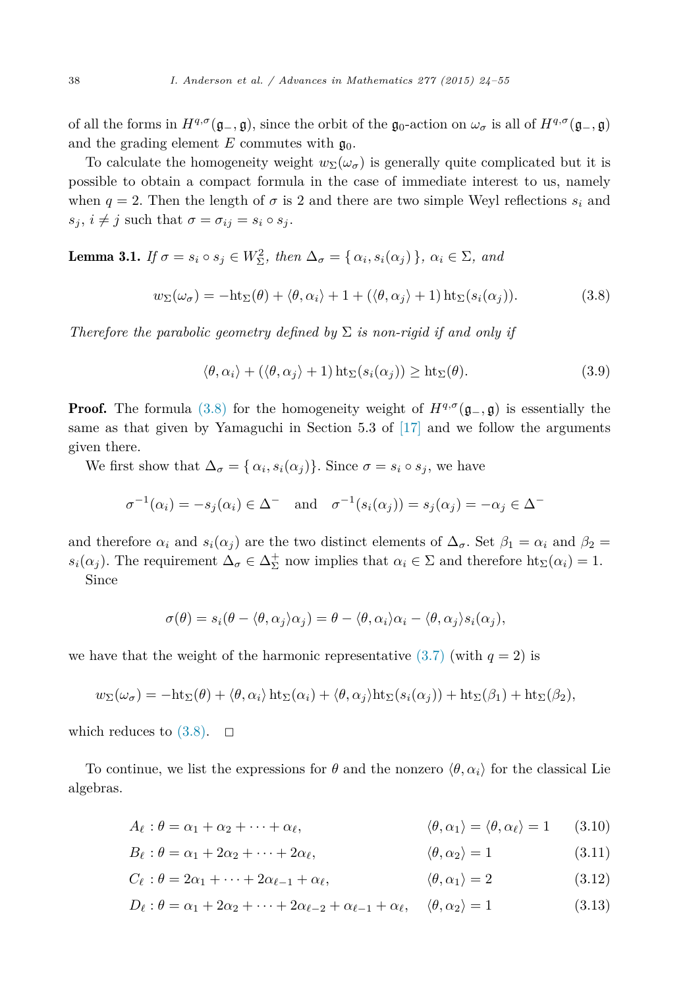<span id="page-14-0"></span>of all the forms in  $H^{q,\sigma}(\mathfrak{g}_-,\mathfrak{g})$ , since the orbit of the  $\mathfrak{g}_0$ -action on  $\omega_\sigma$  is all of  $H^{q,\sigma}(\mathfrak{g}_-,\mathfrak{g})$ and the grading element  $E$  commutes with  $\mathfrak{g}_0$ .

To calculate the homogeneity weight  $w_{\Sigma}(\omega_{\sigma})$  is generally quite complicated but it is possible to obtain a compact formula in the case of immediate interest to us, namely when  $q = 2$ . Then the length of  $\sigma$  is 2 and there are two simple Weyl reflections  $s_i$  and  $s_j$ ,  $i \neq j$  such that  $\sigma = \sigma_{ij} = s_i \circ s_j$ .

**Lemma 3.1.** If  $\sigma = s_i \circ s_j \in W^2_{\Sigma}$ , then  $\Delta_{\sigma} = {\alpha_i, s_i(\alpha_j)}$ ,  $\alpha_i \in \Sigma$ , and

$$
w_{\Sigma}(\omega_{\sigma}) = -\mathrm{ht}_{\Sigma}(\theta) + \langle \theta, \alpha_i \rangle + 1 + (\langle \theta, \alpha_j \rangle + 1) \mathrm{ht}_{\Sigma}(s_i(\alpha_j)). \tag{3.8}
$$

*Therefore the parabolic geometry defined by*  $\Sigma$  *is non-rigid if and only if* 

$$
\langle \theta, \alpha_i \rangle + (\langle \theta, \alpha_j \rangle + 1) \operatorname{ht}_{\Sigma}(s_i(\alpha_j)) \ge \operatorname{ht}_{\Sigma}(\theta). \tag{3.9}
$$

**Proof.** The formula (3.8) for the homogeneity weight of  $H^{q,\sigma}(\mathfrak{g}_-, \mathfrak{g})$  is essentially the same as that given by Yamaguchi in Section 5.3 of  $[17]$  and we follow the arguments given there.

We first show that  $\Delta_{\sigma} = {\alpha_i, s_i(\alpha_j)}$ . Since  $\sigma = s_i \circ s_j$ , we have

$$
\sigma^{-1}(\alpha_i) = -s_j(\alpha_i) \in \Delta^- \quad \text{and} \quad \sigma^{-1}(s_i(\alpha_j)) = s_j(\alpha_j) = -\alpha_j \in \Delta^-
$$

and therefore  $\alpha_i$  and  $s_i(\alpha_j)$  are the two distinct elements of  $\Delta_{\sigma}$ . Set  $\beta_1 = \alpha_i$  and  $\beta_2 =$ *s*<sub>*i*</sub>( $\alpha$ <sub>*j*</sub>). The requirement  $\Delta_{\sigma} \in \Delta_{\Sigma}^{+}$  now implies that  $\alpha_i \in \Sigma$  and therefore ht<sub>Σ</sub>( $\alpha_i$ ) = 1. Since

$$
\sigma(\theta) = s_i(\theta - \langle \theta, \alpha_j \rangle \alpha_j) = \theta - \langle \theta, \alpha_i \rangle \alpha_i - \langle \theta, \alpha_j \rangle s_i(\alpha_j),
$$

we have that the weight of the harmonic representative  $(3.7)$  (with  $q = 2$ ) is

$$
w_{\Sigma}(\omega_{\sigma}) = -\mathrm{ht}_{\Sigma}(\theta) + \langle \theta, \alpha_i \rangle \mathrm{ht}_{\Sigma}(\alpha_i) + \langle \theta, \alpha_j \rangle \mathrm{ht}_{\Sigma}(s_i(\alpha_j)) + \mathrm{ht}_{\Sigma}(\beta_1) + \mathrm{ht}_{\Sigma}(\beta_2),
$$

which reduces to  $(3.8)$ .  $\Box$ 

To continue, we list the expressions for  $\theta$  and the nonzero  $\langle \theta, \alpha_i \rangle$  for the classical Lie algebras.

$$
A_{\ell} : \theta = \alpha_1 + \alpha_2 + \dots + \alpha_{\ell}, \qquad \langle \theta, \alpha_1 \rangle = \langle \theta, \alpha_{\ell} \rangle = 1 \qquad (3.10)
$$

$$
B_{\ell} : \theta = \alpha_1 + 2\alpha_2 + \dots + 2\alpha_{\ell}, \qquad \langle \theta, \alpha_2 \rangle = 1 \qquad (3.11)
$$

$$
C_{\ell} : \theta = 2\alpha_1 + \dots + 2\alpha_{\ell-1} + \alpha_{\ell}, \qquad \langle \theta, \alpha_1 \rangle = 2 \qquad (3.12)
$$

$$
D_{\ell} : \theta = \alpha_1 + 2\alpha_2 + \dots + 2\alpha_{\ell-2} + \alpha_{\ell-1} + \alpha_{\ell}, \quad \langle \theta, \alpha_2 \rangle = 1 \tag{3.13}
$$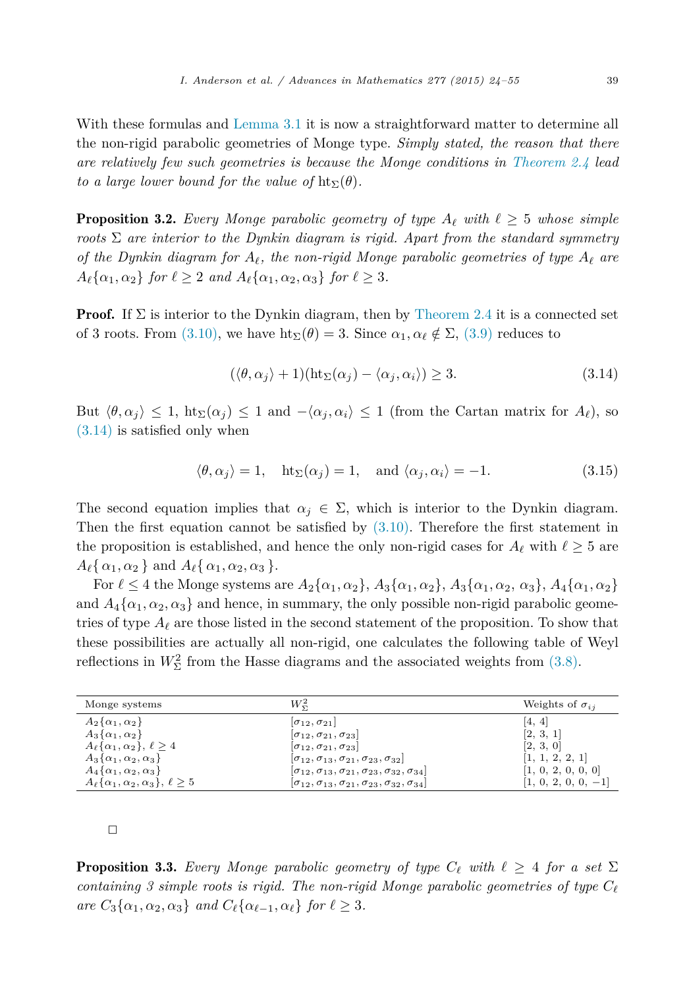With these formulas and [Lemma 3.1](#page-14-0) it is now a straightforward matter to determine all the non-rigid parabolic geometries of Monge type. *Simply stated, the reason that there are relatively few such geometries is because the Monge conditions in [Theorem 2.4](#page-9-0) lead to a large lower bound for the value of*  $\text{ht}_{\Sigma}(\theta)$ *.* 

**Proposition 3.2.** Every Monge parabolic geometry of type  $A_{\ell}$  with  $\ell \geq 5$  whose simple *roots* Σ *are interior to the Dynkin diagram is rigid. Apart from the standard symmetry of* the Dynkin diagram for  $A_{\ell}$ , the non-rigid Monge parabolic geometries of type  $A_{\ell}$  are  $A_{\ell} \{ \alpha_1, \alpha_2 \}$  *for*  $\ell \geq 2$  *and*  $A_{\ell} \{ \alpha_1, \alpha_2, \alpha_3 \}$  *for*  $\ell \geq 3$ *.* 

**Proof.** If  $\Sigma$  is interior to the Dynkin diagram, then by [Theorem 2.4](#page-9-0) it is a connected set of 3 roots. From [\(3.10\),](#page-14-0) we have  $\text{ht}_{\Sigma}(\theta) = 3$ . Since  $\alpha_1, \alpha_\ell \notin \Sigma$ , [\(3.9\)](#page-14-0) reduces to

$$
(\langle \theta, \alpha_j \rangle + 1)(\mathrm{ht}_{\Sigma}(\alpha_j) - \langle \alpha_j, \alpha_i \rangle) \ge 3. \tag{3.14}
$$

But  $\langle \theta, \alpha_j \rangle \leq 1$ ,  $\text{ht}_{\Sigma}(\alpha_j) \leq 1$  and  $-\langle \alpha_j, \alpha_i \rangle \leq 1$  (from the Cartan matrix for  $A_{\ell}$ ), so (3.14) is satisfied only when

$$
\langle \theta, \alpha_j \rangle = 1
$$
,  $ht_{\Sigma}(\alpha_j) = 1$ , and  $\langle \alpha_j, \alpha_i \rangle = -1$ . (3.15)

The second equation implies that  $\alpha_j \in \Sigma$ , which is interior to the Dynkin diagram. Then the first equation cannot be satisfied by  $(3.10)$ . Therefore the first statement in the proposition is established, and hence the only non-rigid cases for  $A_{\ell}$  with  $\ell \geq 5$  are  $A_{\ell} \{ \alpha_1, \alpha_2 \}$  and  $A_{\ell} \{ \alpha_1, \alpha_2, \alpha_3 \}.$ 

For  $\ell \leq 4$  the Monge systems are  $A_2\{\alpha_1, \alpha_2\}$ ,  $A_3\{\alpha_1, \alpha_2\}$ ,  $A_3\{\alpha_1, \alpha_2, \alpha_3\}$ ,  $A_4\{\alpha_1, \alpha_2\}$ and  $A_4\{\alpha_1,\alpha_2,\alpha_3\}$  and hence, in summary, the only possible non-rigid parabolic geometries of type  $A_{\ell}$  are those listed in the second statement of the proposition. To show that these possibilities are actually all non-rigid, one calculates the following table of Weyl reflections in  $W^2_{\Sigma}$  from the Hasse diagrams and the associated weights from [\(3.8\).](#page-14-0)

| Monge systems                                       | $W_{\Sigma}^2$                                                                   | Weights of $\sigma_{ij}$ |
|-----------------------------------------------------|----------------------------------------------------------------------------------|--------------------------|
| $A_2\{\alpha_1,\alpha_2\}$                          | $ \sigma_{12},\sigma_{21} $                                                      | [4, 4]                   |
| $A_3\{\alpha_1,\alpha_2\}$                          | $ \sigma_{12},\sigma_{21},\sigma_{23} $                                          | [2, 3, 1]                |
| $A_{\ell}\{\alpha_1,\alpha_2\},\ell\geq 4$          | $ \sigma_{12}, \sigma_{21}, \sigma_{23} $                                        | [2, 3, 0]                |
| $A_3\{\alpha_1,\alpha_2,\alpha_3\}$                 | $[\sigma_{12}, \sigma_{13}, \sigma_{21}, \sigma_{23}, \sigma_{32}]$              | [1, 1, 2, 2, 1]          |
| $A_4\{\alpha_1,\alpha_2,\alpha_3\}$                 | $ \sigma_{12}, \sigma_{13}, \sigma_{21}, \sigma_{23}, \sigma_{32}, \sigma_{34} $ | [1, 0, 2, 0, 0, 0]       |
| $A_{\ell}\{\alpha_1,\alpha_2,\alpha_3\},\ell\geq 5$ | $ \sigma_{12}, \sigma_{13}, \sigma_{21}, \sigma_{23}, \sigma_{32}, \sigma_{34} $ | $[1, 0, 2, 0, 0, -1]$    |

 $\Box$ 

**Proposition 3.3.** Every Monge parabolic geometry of type  $C_{\ell}$  with  $\ell \geq 4$  for a set  $\Sigma$ *containing 3 simple roots is rigid. The non-rigid Monge parabolic geometries of type C are*  $C_3\{\alpha_1, \alpha_2, \alpha_3\}$  *and*  $C_{\ell}\{\alpha_{\ell-1}, \alpha_{\ell}\}$  *for*  $\ell \geq 3$ *.*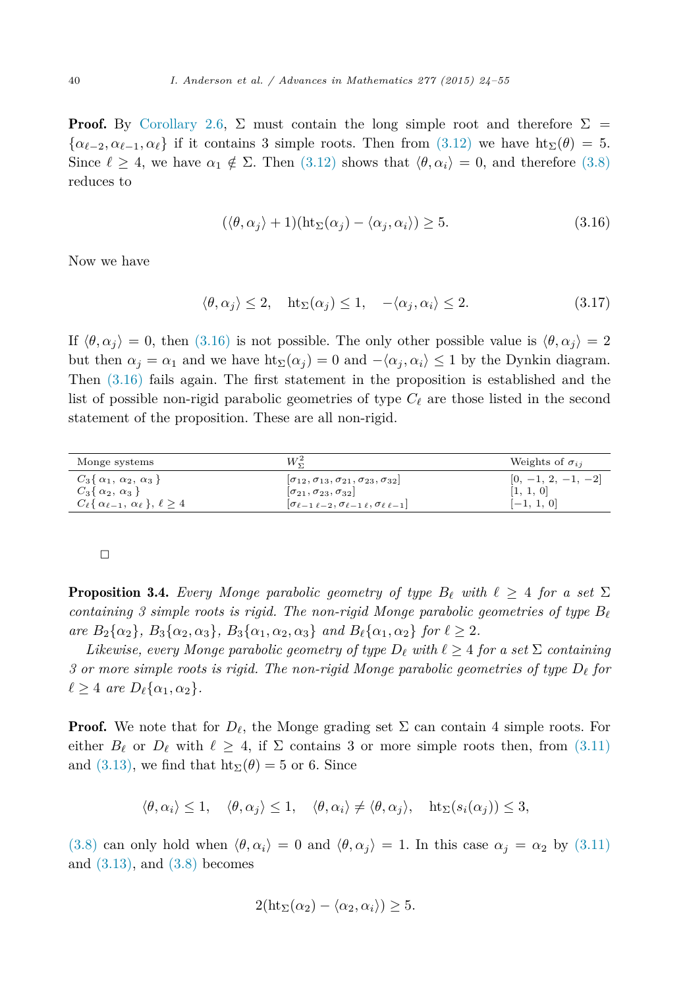**Proof.** By [Corollary 2.6,](#page-12-0)  $\Sigma$  must contain the long simple root and therefore  $\Sigma$  =  $\{\alpha_{\ell-2}, \alpha_{\ell-1}, \alpha_{\ell}\}\$ if it contains 3 simple roots. Then from [\(3.12\)](#page-14-0) we have  $\text{ht}_{\Sigma}(\theta) = 5$ . Since  $\ell \geq 4$ , we have  $\alpha_1 \notin \Sigma$ . Then  $(3.12)$  shows that  $\langle \theta, \alpha_i \rangle = 0$ , and therefore  $(3.8)$ reduces to

$$
(\langle \theta, \alpha_j \rangle + 1)(\mathrm{ht}_{\Sigma}(\alpha_j) - \langle \alpha_j, \alpha_i \rangle) \ge 5. \tag{3.16}
$$

Now we have

$$
\langle \theta, \alpha_j \rangle \le 2, \quad \text{ht}_{\Sigma}(\alpha_j) \le 1, \quad -\langle \alpha_j, \alpha_i \rangle \le 2. \tag{3.17}
$$

If  $\langle \theta, \alpha_i \rangle = 0$ , then (3.16) is not possible. The only other possible value is  $\langle \theta, \alpha_i \rangle = 2$ but then  $\alpha_j = \alpha_1$  and we have  $\text{ht}_{\Sigma}(\alpha_j) = 0$  and  $-\langle \alpha_j, \alpha_i \rangle \leq 1$  by the Dynkin diagram. Then (3.16) fails again. The first statement in the proposition is established and the list of possible non-rigid parabolic geometries of type  $C_{\ell}$  are those listed in the second statement of the proposition. These are all non-rigid.

| Monge systems                                               | W₹                                                                  | Weights of $\sigma_{ii}$ |
|-------------------------------------------------------------|---------------------------------------------------------------------|--------------------------|
| $C_3\{\alpha_1, \alpha_2, \alpha_3\}$                       | $ \sigma_{12}, \sigma_{13}, \sigma_{21}, \sigma_{23}, \sigma_{32} $ | $[0, -1, 2, -1, -2]$     |
| $C_3\{\alpha_2,\alpha_3\}$                                  | $ \sigma_{21}, \sigma_{23}, \sigma_{32} $                           | [1, 1, 0]                |
| $C_{\ell} \{\alpha_{\ell-1}, \alpha_{\ell} \}, \ell \geq 4$ | $\sigma_{\ell-1\ell-2}, \sigma_{\ell-1\ell}, \sigma_{\ell\ell-1}$   | $[-1, 1, 0]$             |

 $\Box$ 

**Proposition 3.4.** Every Monge parabolic geometry of type  $B_{\ell}$  with  $\ell \geq 4$  for a set  $\Sigma$ *containing 3 simple roots is rigid. The non-rigid Monge parabolic geometries of type B* are  $B_2\{\alpha_2\}, B_3\{\alpha_2, \alpha_3\}, B_3\{\alpha_1, \alpha_2, \alpha_3\}$  and  $B_{\ell}\{\alpha_1, \alpha_2\}$  for  $\ell \geq 2$ .

*Likewise, every Monge parabolic geometry of type*  $D_{\ell}$  *with*  $\ell \geq 4$  *for a set*  $\Sigma$  *<i>containing 3 or more simple roots is rigid. The non-rigid Monge parabolic geometries of type D- for*  $\ell \geq 4$  *are*  $D_{\ell}\{\alpha_1, \alpha_2\}.$ 

**Proof.** We note that for  $D_{\ell}$ , the Monge grading set  $\Sigma$  can contain 4 simple roots. For either  $B_{\ell}$  or  $D_{\ell}$  with  $\ell \geq 4$ , if  $\Sigma$  contains 3 or more simple roots then, from [\(3.11\)](#page-14-0) and [\(3.13\),](#page-14-0) we find that  $\text{ht}_{\Sigma}(\theta) = 5$  or 6. Since

$$
\langle \theta, \alpha_i \rangle \leq 1, \quad \langle \theta, \alpha_j \rangle \leq 1, \quad \langle \theta, \alpha_i \rangle \neq \langle \theta, \alpha_j \rangle, \quad \text{ht}_{\Sigma}(s_i(\alpha_j)) \leq 3,
$$

[\(3.8\)](#page-14-0) can only hold when  $\langle \theta, \alpha_i \rangle = 0$  and  $\langle \theta, \alpha_j \rangle = 1$ . In this case  $\alpha_j = \alpha_2$  by [\(3.11\)](#page-14-0) and  $(3.13)$ , and  $(3.8)$  becomes

$$
2(\mathrm{ht}_{\Sigma}(\alpha_2)-\langle \alpha_2, \alpha_i \rangle) \geq 5.
$$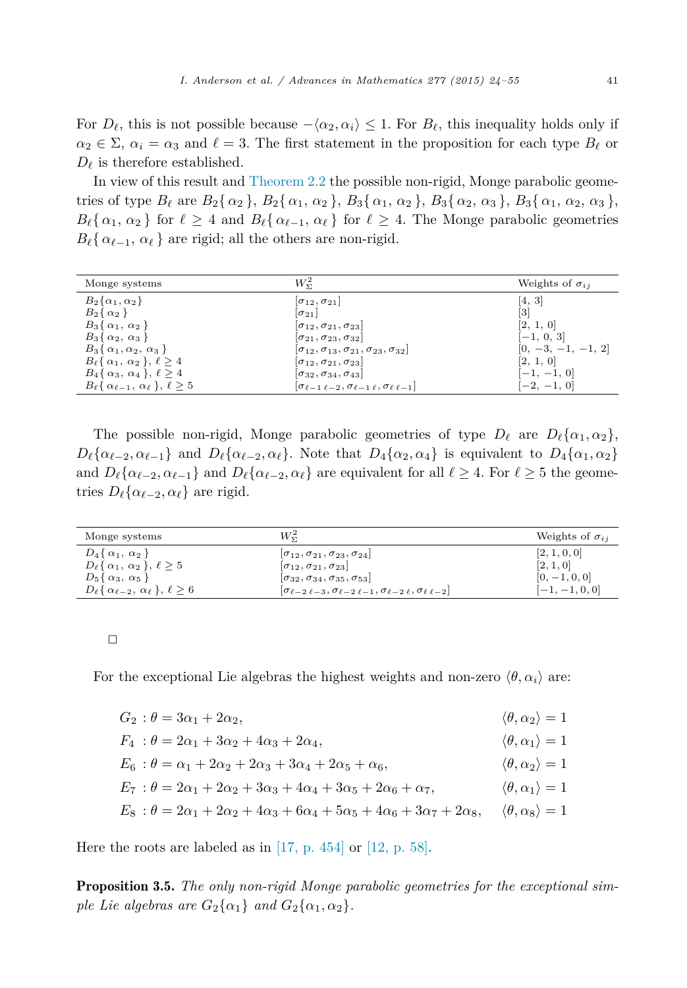For  $D_{\ell}$ , this is not possible because  $-\langle \alpha_2, \alpha_i \rangle \leq 1$ . For  $B_{\ell}$ , this inequality holds only if  $\alpha_2 \in \Sigma$ ,  $\alpha_i = \alpha_3$  and  $\ell = 3$ . The first statement in the proposition for each type  $B_{\ell}$  or  $D_{\ell}$  is therefore established.

In view of this result and [Theorem 2.2](#page-7-0) the possible non-rigid, Monge parabolic geometries of type  $B_{\ell}$  are  $B_2\{\alpha_2\}$ ,  $B_2\{\alpha_1, \alpha_2\}$ ,  $B_3\{\alpha_1, \alpha_2\}$ ,  $B_3\{\alpha_2, \alpha_3\}$ ,  $B_3\{\alpha_1, \alpha_2, \alpha_3\}$ ,  $B_{\ell} \{ \alpha_1, \alpha_2 \}$  for  $\ell \geq 4$  and  $B_{\ell} \{ \alpha_{\ell-1}, \alpha_{\ell} \}$  for  $\ell \geq 4$ . The Monge parabolic geometries  $B_{\ell} \{\alpha_{\ell-1}, \alpha_{\ell}\}\$ are rigid; all the others are non-rigid.

| Monge systems                                               | $W_{\Sigma}^2$                                                      | Weights of $\sigma_{ii}$ |
|-------------------------------------------------------------|---------------------------------------------------------------------|--------------------------|
| $B_2\{\alpha_1,\alpha_2\}$                                  | $ \sigma_{12},\sigma_{21} $                                         | $\left[4, 3\right]$      |
| $B_2\{\alpha_2\}$                                           | $ \sigma_{21} $                                                     | [3]                      |
| $B_3\{\alpha_1,\alpha_2\}$                                  | $ \sigma_{12},\sigma_{21},\sigma_{23} $                             | [2, 1, 0]                |
| $B_3\{\alpha_2,\alpha_3\}$                                  | $\sigma_{21}, \sigma_{23}, \sigma_{32}$                             | $[-1, 0, 3]$             |
| $B_3\{\alpha_1,\alpha_2,\alpha_3\}$                         | $ \sigma_{12}, \sigma_{13}, \sigma_{21}, \sigma_{23}, \sigma_{32} $ | $[0, -3, -1, -1, 2]$     |
| $B_{\ell} \{\alpha_1, \alpha_2\}, \ell \geq 4$              | $ \sigma_{12},\sigma_{21},\sigma_{23} $                             | [2, 1, 0]                |
| $B_4\{\alpha_3, \alpha_4\}, \ell \geq 4$                    | $ \sigma_{32},\sigma_{34},\sigma_{43} $                             | $[-1, -1, 0]$            |
| $B_{\ell} \{\alpha_{\ell-1}, \alpha_{\ell} \}, \ell \geq 5$ | $\sigma_{\ell-1\ell-2}, \sigma_{\ell-1\ell}, \sigma_{\ell\ell-1}$   | $[-2, -1, 0]$            |

The possible non-rigid, Monge parabolic geometries of type  $D_{\ell}$  are  $D_{\ell} {\alpha_1, \alpha_2}$ ,  $D_{\ell}\{\alpha_{\ell-2},\alpha_{\ell-1}\}\$ and  $D_{\ell}\{\alpha_{\ell-2},\alpha_{\ell}\}\$ . Note that  $D_{4}\{\alpha_{2},\alpha_{4}\}\$ is equivalent to  $D_{4}\{\alpha_{1},\alpha_{2}\}\$ and  $D_{\ell} \{ \alpha_{\ell-2}, \alpha_{\ell-1} \}$  and  $D_{\ell} \{ \alpha_{\ell-2}, \alpha_{\ell} \}$  are equivalent for all  $\ell \geq 4$ . For  $\ell \geq 5$  the geome- $\text{tries } D_{\ell} \{ \alpha_{\ell-2}, \alpha_{\ell} \} \text{ are rigid.}$ 

| Monge systems                                              | $W_{\pi}^2$                                                                         | Weights of $\sigma_{ii}$ |
|------------------------------------------------------------|-------------------------------------------------------------------------------------|--------------------------|
| $D_4\{\alpha_1,\alpha_2\}$                                 | $ \sigma_{12}, \sigma_{21}, \sigma_{23}, \sigma_{24} $                              | [2, 1, 0, 0]             |
| $D_{\ell} \{\alpha_1, \alpha_2\}, \ell \geq 5$             | $ \sigma_{12}, \sigma_{21}, \sigma_{23} $                                           | [2, 1, 0]                |
| $D_5\{\alpha_3,\alpha_5\}$                                 | $ \sigma_{32}, \sigma_{34}, \sigma_{35}, \sigma_{53} $                              | $[0, -1, 0, 0]$          |
| $D_{\ell} \{\alpha_{\ell-2}, \alpha_{\ell}\}, \ell \geq 6$ | $ \sigma_{\ell-2\ell-3},\sigma_{\ell-2\ell-1},\sigma_{\ell-2\ell},\sigma_{\ell-2} $ | $[-1, -1, 0, 0]$         |

 $\Box$ 

For the exceptional Lie algebras the highest weights and non-zero  $\langle \theta, \alpha_i \rangle$  are:

 $G_2$ :  $\theta = 3\alpha_1 + 2\alpha_2,$   $\langle \theta, \alpha_2 \rangle = 1$ <br>  $F_1 + \theta = 2\alpha_1 + 3\alpha_2 + 2\alpha_3$ <br>  $\langle \theta, \alpha_2 \rangle = 1$ 

$$
F_4 : \theta = 2\alpha_1 + 3\alpha_2 + 4\alpha_3 + 2\alpha_4, \qquad \langle \theta, \alpha_1 \rangle = 1
$$
  
\n
$$
E_6 : \theta = \alpha_1 + 2\alpha_2 + 2\alpha_3 + 3\alpha_4 + 2\alpha_5 + \alpha_6, \qquad \langle \theta, \alpha_2 \rangle = 1
$$
  
\n
$$
E_7 : \theta = 2\alpha_1 + 2\alpha_2 + 3\alpha_3 + 4\alpha_4 + 3\alpha_5 + 2\alpha_6 + \alpha_7, \qquad \langle \theta, \alpha_1 \rangle = 1
$$
  
\n
$$
E_8 : \theta = 2\alpha_1 + 2\alpha_2 + 4\alpha_3 + 6\alpha_4 + 5\alpha_5 + 4\alpha_6 + 3\alpha_7 + 2\alpha_8, \qquad \langle \theta, \alpha_8 \rangle = 1
$$

Here the roots are labeled as in  $[17, p. 454]$  $[17, p. 454]$  or  $[12, p. 58]$ .

Proposition 3.5. *The only non-rigid Monge parabolic geometries for the exceptional simple Lie algebras are*  $G_2\{\alpha_1\}$  *and*  $G_2\{\alpha_1, \alpha_2\}$ *.*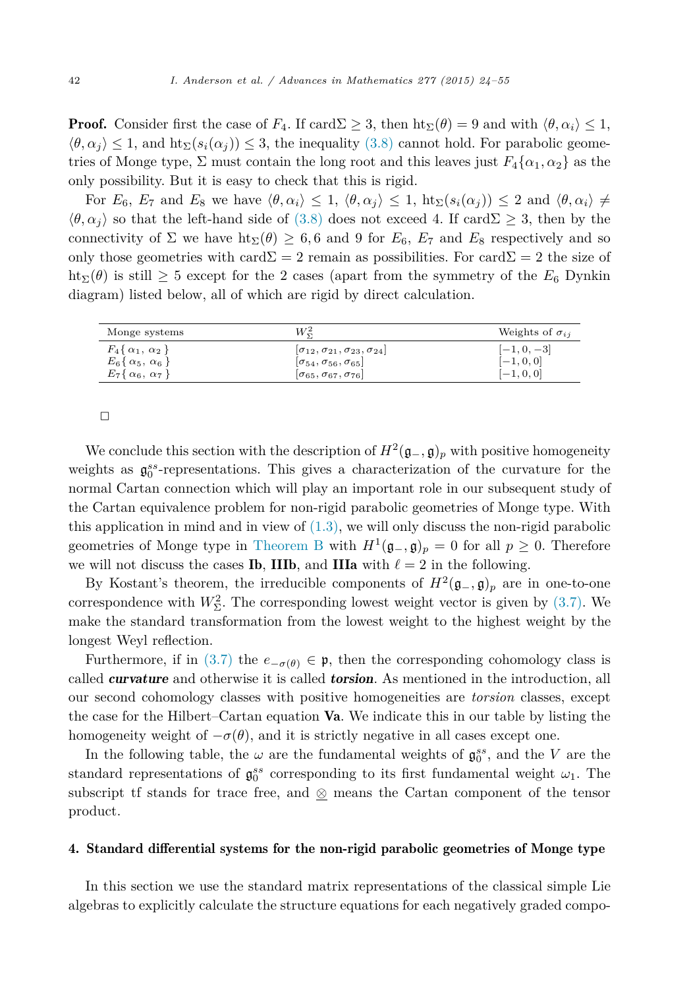<span id="page-18-0"></span>**Proof.** Consider first the case of  $F_4$ . If card $\Sigma \geq 3$ , then  $\text{ht}_{\Sigma}(\theta) = 9$  and with  $\langle \theta, \alpha_i \rangle \leq 1$ ,  $\langle \theta, \alpha_i \rangle \leq 1$ , and  $\text{ht}_{\Sigma}(s_i(\alpha_i)) \leq 3$ , the inequality [\(3.8\)](#page-14-0) cannot hold. For parabolic geometries of Monge type,  $\Sigma$  must contain the long root and this leaves just  $F_4\{\alpha_1,\alpha_2\}$  as the only possibility. But it is easy to check that this is rigid.

For  $E_6$ ,  $E_7$  and  $E_8$  we have  $\langle \theta, \alpha_i \rangle \leq 1$ ,  $\langle \theta, \alpha_j \rangle \leq 1$ ,  $\mathrm{ht}_{\Sigma}(s_i(\alpha_j)) \leq 2$  and  $\langle \theta, \alpha_i \rangle \neq 0$  $\langle \theta, \alpha_i \rangle$  so that the left-hand side of [\(3.8\)](#page-14-0) does not exceed 4. If card $\Sigma \geq 3$ , then by the connectivity of  $\Sigma$  we have  $\text{ht}_{\Sigma}(\theta) \geq 6, 6$  and 9 for  $E_6$ ,  $E_7$  and  $E_8$  respectively and so only those geometries with card  $\Sigma = 2$  remain as possibilities. For card  $\Sigma = 2$  the size of ht<sub>Σ</sub>( $\theta$ ) is still  $\geq$  5 except for the 2 cases (apart from the symmetry of the  $E_6$  Dynkin diagram) listed below, all of which are rigid by direct calculation.

| Monge systems               | $W^2_{\tau}$                                           | Weights of $\sigma_{ij}$ |
|-----------------------------|--------------------------------------------------------|--------------------------|
| $F_4\{\alpha_1,\alpha_2\}$  | $ \sigma_{12}, \sigma_{21}, \sigma_{23}, \sigma_{24} $ | $[-1, 0, -3]$            |
| $E_6\{\alpha_5, \alpha_6\}$ | $ \sigma_{54},\sigma_{56},\sigma_{65} $                | $[-1, 0, 0]$             |
| $E_7\{\alpha_6, \alpha_7\}$ | $\left[\sigma_{65},\sigma_{67},\sigma_{76}\right]$     | $[-1, 0, 0]$             |

 $\Box$ 

We conclude this section with the description of  $H^2(\mathfrak{g}_-,\mathfrak{g})_p$  with positive homogeneity weights as  $\mathfrak{g}_0^{ss}$ -representations. This gives a characterization of the curvature for the normal Cartan connection which will play an important role in our subsequent study of the Cartan equivalence problem for non-rigid parabolic geometries of Monge type. With this application in mind and in view of  $(1.3)$ , we will only discuss the non-rigid parabolic geometries of Monge type in [Theorem B](#page-4-0) with  $H^1(\mathfrak{g}_-,\mathfrak{g})_p = 0$  for all  $p \geq 0$ . Therefore we will not discuss the cases **Ib**, **IIIb**, and **IIIa** with  $\ell = 2$  in the following.

By Kostant's theorem, the irreducible components of  $H^2(\mathfrak{g}_-,\mathfrak{g})_p$  are in one-to-one correspondence with  $W^2_{\Sigma}$ . The corresponding lowest weight vector is given by [\(3.7\).](#page-13-0) We make the standard transformation from the lowest weight to the highest weight by the longest Weyl reflection.

Furthermore, if in [\(3.7\)](#page-13-0) the  $e_{-\sigma(\theta)} \in \mathfrak{p}$ , then the corresponding cohomology class is called *curvature* and otherwise it is called *torsion*. As mentioned in the introduction, all our second cohomology classes with positive homogeneities are *torsion* classes, except the case for the Hilbert–Cartan equation Va. We indicate this in our table by listing the homogeneity weight of  $-\sigma(\theta)$ , and it is strictly negative in all cases except one.

In the following table, the  $\omega$  are the fundamental weights of  $\mathfrak{g}_0^{ss}$ , and the *V* are the standard representations of  $\mathfrak{g}_0^{ss}$  corresponding to its first fundamental weight  $\omega_1$ . The subscript tf stands for trace free, and ⊗ means the Cartan component of the tensor product.

#### 4. Standard differential systems for the non-rigid parabolic geometries of Monge type

In this section we use the standard matrix representations of the classical simple Lie algebras to explicitly calculate the structure equations for each negatively graded compo-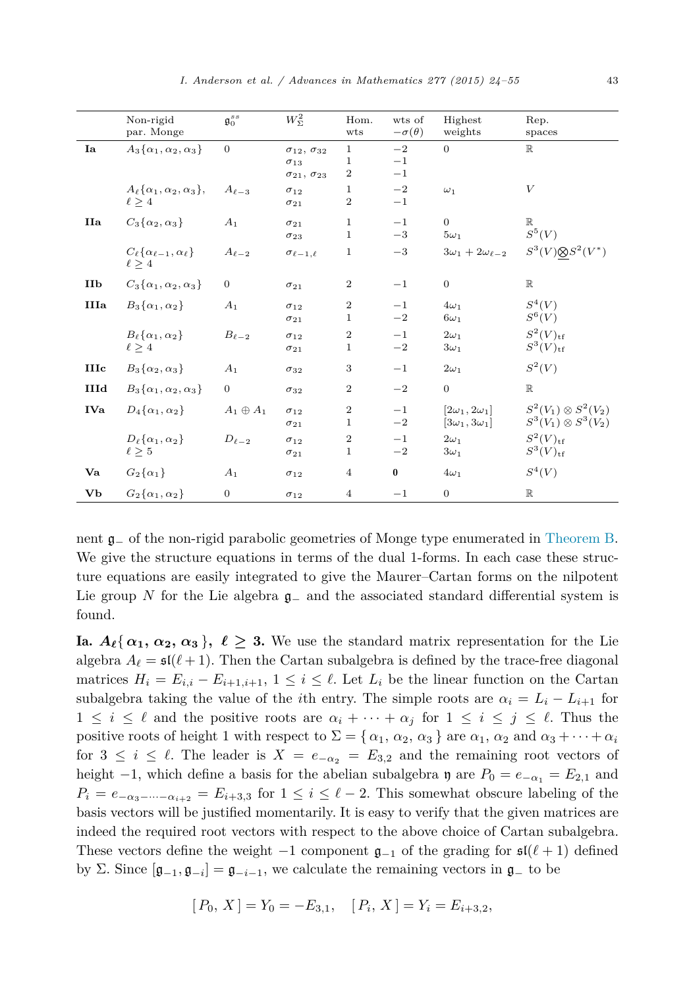|             | Non-rigid<br>par. Monge                                      | $\mathfrak{g}_0^{ss}$ | $W_{\Sigma}^2$                                                            | Hom.<br>wts                    | wts of<br>$-\sigma(\theta)$ | Highest<br>weights                                   | Rep.<br>spaces                                                    |
|-------------|--------------------------------------------------------------|-----------------------|---------------------------------------------------------------------------|--------------------------------|-----------------------------|------------------------------------------------------|-------------------------------------------------------------------|
| Ia          | $A_3\{\alpha_1,\alpha_2,\alpha_3\}$                          | $\overline{0}$        | $\sigma_{12}, \sigma_{32}$<br>$\sigma_{13}$<br>$\sigma_{21}, \sigma_{23}$ | $\mathbf{1}$<br>1<br>$\,2$     | $-2$<br>$-1$<br>$-1$        | $\overline{0}$                                       | $\mathbb R$                                                       |
|             | $A_{\ell} {\alpha_1, \alpha_2, \alpha_3},$<br>$\ell \geq 4$  | $A_{\ell-3}$          | $\sigma_{12}$<br>$\sigma_{21}$                                            | $\mathbf{1}$<br>$\overline{2}$ | $-2$<br>$-1$                | $\omega_1$                                           | $\boldsymbol{V}$                                                  |
| IIa         | $C_3\{\alpha_2,\alpha_3\}$                                   | A <sub>1</sub>        | $\sigma_{21}$<br>$\sigma_{23}$                                            | $\mathbf{1}$<br>$\mathbf{1}$   | $-1$<br>$-3$                | $\overline{0}$<br>$5\omega_1$                        | $\mathbb R$<br>$S^5(V)$                                           |
|             | $C_{\ell} {\alpha_{\ell-1}, \alpha_{\ell}}$<br>$\ell \geq 4$ | $A_{\ell-2}$          | $\sigma_{\ell-1,\ell}$                                                    | $\mathbf{1}$                   | $-3$                        | $3\omega_1+2\omega_{\ell-2}$                         | $S^3(V) \otimes S^2(V^*)$                                         |
| <b>IIb</b>  | $C_3\{\alpha_1,\alpha_2,\alpha_3\}$                          | $\overline{0}$        | $\sigma_{21}$                                                             | $\,2$                          | $-1$                        | $\overline{0}$                                       | $\mathbb R$                                                       |
| <b>IIIa</b> | $B_3\{\alpha_1,\alpha_2\}$                                   | A <sub>1</sub>        | $\sigma_{12}$<br>$\sigma_{21}$                                            | $\,2$<br>$\mathbf{1}$          | $-1$<br>$-2$                | $4\omega_1$<br>$6\omega_1$                           | $S^4(V)$<br>$S^6(V)$                                              |
|             | $B_{\ell}\{\alpha_1,\alpha_2\}$<br>$\ell \geq 4$             | $B_{\ell-2}$          | $\sigma_{12}$<br>$\sigma_{21}$                                            | $\,2$<br>$\mathbf{1}$          | $-1$<br>$-2$                | $2\omega_1$<br>$3\omega_1$                           | $S^2(V)_{\text{tf}}$<br>$S^3(V)_{\rm tf}$                         |
| <b>IIIc</b> | $B_3\{\alpha_2,\alpha_3\}$                                   | A <sub>1</sub>        | $\sigma_{32}$                                                             | 3                              | $-1$                        | $2\omega_1$                                          | $S^2(\mathcal V)$                                                 |
| IIId        | $B_3\{\alpha_1,\alpha_2,\alpha_3\}$                          | $\overline{0}$        | $\sigma_{32}$                                                             | $\overline{2}$                 | $-2$                        | $\overline{0}$                                       | $\mathbb R$                                                       |
| <b>IVa</b>  | $D_4\{\alpha_1,\alpha_2\}$                                   | $A_1 \oplus A_1$      | $\sigma_{12}$<br>$\sigma_{21}$                                            | $\overline{2}$<br>$\mathbf{1}$ | $-1$<br>$-2$                | $[2\omega_1, 2\omega_1]$<br>$[3\omega_1, 3\omega_1]$ | $S^{2}(V_{1})\otimes S^{2}(V_{2})$<br>$S^3(V_1) \otimes S^3(V_2)$ |
|             | $D_{\ell}\{\alpha_1,\alpha_2\}$<br>$\ell \geq 5$             | $D_{\ell-2}$          | $\sigma_{12}$<br>$\sigma_{21}$                                            | $\,2$<br>1                     | $-1$<br>$-2$                | $2\omega_1$<br>$3\omega_1$                           | $S^2(V)_{\text{tf}}$<br>$S^3(V)_{\rm tf}$                         |
| Va          | $G_2\{\alpha_1\}$                                            | A <sub>1</sub>        | $\sigma_{12}$                                                             | $\overline{4}$                 | $\bf{0}$                    | $4\omega_1$                                          | $S^4(V)$                                                          |
| Vb          | $G_2\{\alpha_1,\alpha_2\}$                                   | $\overline{0}$        | $\sigma_{12}$                                                             | $\overline{4}$                 | $-1$                        | $\overline{0}$                                       | $\mathbb R$                                                       |

nent g<sup>−</sup> of the non-rigid parabolic geometries of Monge type enumerated in [Theorem B.](#page-4-0) We give the structure equations in terms of the dual 1-forms. In each case these structure equations are easily integrated to give the Maurer–Cartan forms on the nilpotent Lie group *N* for the Lie algebra g<sup>−</sup> and the associated standard differential system is found.

**Ia.**  $A_{\ell} \{ \alpha_1, \alpha_2, \alpha_3 \}, \ell \geq 3$ . We use the standard matrix representation for the Lie algebra  $A_{\ell} = \mathfrak{sl}(\ell+1)$ . Then the Cartan subalgebra is defined by the trace-free diagonal matrices  $H_i = E_{i,i} - E_{i+1,i+1}, 1 \leq i \leq \ell$ . Let  $L_i$  be the linear function on the Cartan subalgebra taking the value of the *i*th entry. The simple roots are  $\alpha_i = L_i - L_{i+1}$  for  $1 \leq i \leq \ell$  and the positive roots are  $\alpha_i + \cdots + \alpha_j$  for  $1 \leq i \leq j \leq \ell$ . Thus the positive roots of height 1 with respect to  $\Sigma = {\alpha_1, \alpha_2, \alpha_3}$  are  $\alpha_1, \alpha_2$  and  $\alpha_3 + \cdots + \alpha_i$ for  $3 \leq i \leq \ell$ . The leader is  $X = e_{-\alpha_2} = E_{3,2}$  and the remaining root vectors of height  $-1$ , which define a basis for the abelian subalgebra  $\eta$  are  $P_0 = e_{-\alpha_1} = E_{2,1}$  and  $P_i = e_{-\alpha_3-\cdots-\alpha_{i+2}} = E_{i+3,3}$  for  $1 \leq i \leq \ell-2$ . This somewhat obscure labeling of the basis vectors will be justified momentarily. It is easy to verify that the given matrices are indeed the required root vectors with respect to the above choice of Cartan subalgebra. These vectors define the weight  $-1$  component  $\mathfrak{g}_{-1}$  of the grading for  $\mathfrak{sl}(\ell+1)$  defined by Σ. Since  $[g_{-1}, g_{-i}] = g_{-i-1}$ , we calculate the remaining vectors in  $g_{-}$  to be

$$
[P_0, X] = Y_0 = -E_{3,1}, \quad [P_i, X] = Y_i = E_{i+3,2},
$$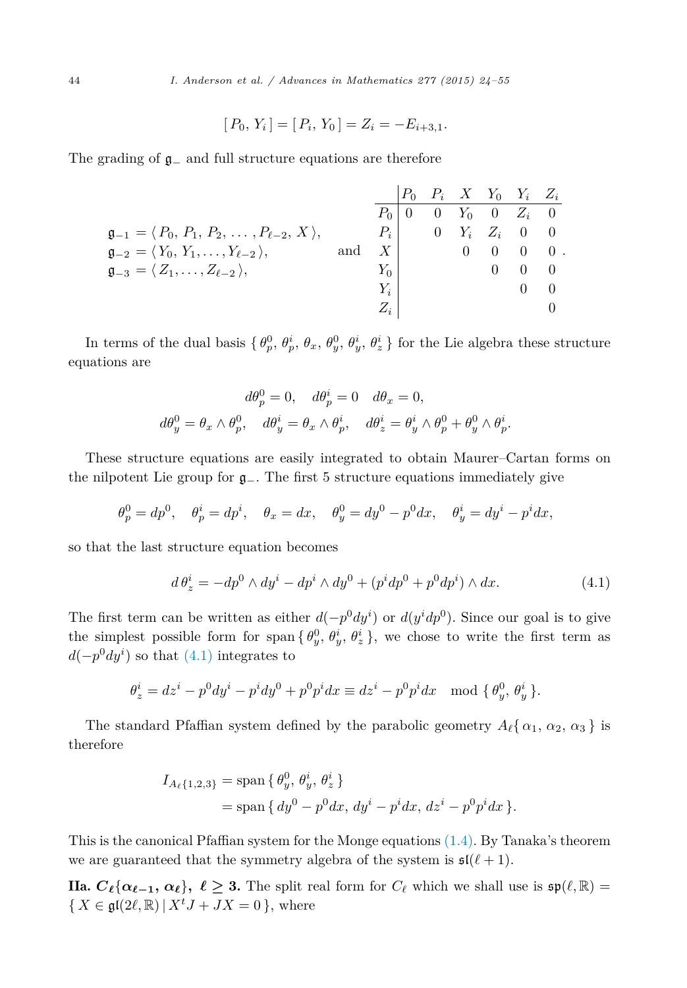$$
[P_0, Y_i] = [P_i, Y_0] = Z_i = -E_{i+3,1}.
$$

The grading of g<sup>−</sup> and full structure equations are therefore

|                                                                             |     |       |          |          | $P_0$ $P_i$ $X$ $Y_0$ $Y_i$ $Z_i$      |            |
|-----------------------------------------------------------------------------|-----|-------|----------|----------|----------------------------------------|------------|
|                                                                             |     |       |          |          | $P_0   0 \t 0 \t Y_0 \t 0 \t Z_i \t 0$ |            |
| $\mathfrak{g}_{-1} = \langle P_0, P_1, P_2, \ldots, P_{\ell-2}, X \rangle,$ |     | $P_i$ | $\Omega$ |          | $Y_i \quad Z_i \quad 0 \quad 0$        |            |
| $\mathfrak{g}_{-2} = \langle Y_0, Y_1, \ldots, Y_{\ell-2} \rangle,$         | and |       |          |          | $X$ 0 0 0 0 0 0                        |            |
| $\mathfrak{g}_{-3} = \langle Z_1, \ldots, Z_{\ell-2} \rangle,$              |     | $Y_0$ |          | $\sim$ 0 |                                        | $\bigcirc$ |
|                                                                             |     | $Y_i$ |          |          |                                        |            |
|                                                                             |     | $Z_i$ |          |          |                                        |            |

In terms of the dual basis  $\{\theta_p^0, \theta_p^i, \theta_x, \theta_y^0, \theta_y^i, \theta_z^i\}$  for the Lie algebra these structure equations are

$$
d\theta_p^0 = 0, \quad d\theta_p^i = 0 \quad d\theta_x = 0,
$$
  

$$
d\theta_y^0 = \theta_x \wedge \theta_p^0, \quad d\theta_y^i = \theta_x \wedge \theta_p^i, \quad d\theta_z^i = \theta_y^i \wedge \theta_p^0 + \theta_y^0 \wedge \theta_p^i.
$$

These structure equations are easily integrated to obtain Maurer–Cartan forms on the nilpotent Lie group for g−. The first 5 structure equations immediately give

$$
\theta_p^0 = dp^0, \quad \theta_p^i = dp^i, \quad \theta_x = dx, \quad \theta_y^0 = dy^0 - p^0 dx, \quad \theta_y^i = dy^i - p^i dx,
$$

so that the last structure equation becomes

$$
d\theta_z^i = -dp^0 \wedge dy^i - dp^i \wedge dy^0 + (p^i dp^0 + p^0 dp^i) \wedge dx.
$$
 (4.1)

The first term can be written as either  $d(-p^0 dy^i)$  or  $d(y^i dp^0)$ . Since our goal is to give the simplest possible form for span  $\{\theta_y^0, \theta_y^i, \theta_z^i\}$ , we chose to write the first term as  $d(-p^0 dy^i)$  so that  $(4.1)$  integrates to

$$
\theta_z^i = dz^i - p^0 dy^i - p^i dy^0 + p^0 p^i dx \equiv dz^i - p^0 p^i dx \mod \{ \theta_y^0, \theta_y^i \}.
$$

The standard Pfaffian system defined by the parabolic geometry  $A_{\ell}$  {  $\alpha_1$ ,  $\alpha_2$ ,  $\alpha_3$  } is therefore

$$
I_{A_{\ell}\{1,2,3\}} = \text{span}\left\{\theta_y^0, \theta_y^i, \theta_z^i\right\}
$$
  
= span $\left\{dy^0 - p^0 dx, dy^i - p^i dx, dz^i - p^0 p^i dx\right\}.$ 

This is the canonical Pfaffian system for the Monge equations [\(1.4\).](#page-3-0) By Tanaka's theorem we are guaranteed that the symmetry algebra of the system is  $\mathfrak{sl}(\ell+1)$ .

**IIa.**  $C_{\ell} \{\alpha_{\ell-1}, \alpha_{\ell}\}, \ell \geq 3$ . The split real form for  $C_{\ell}$  which we shall use is  $\mathfrak{sp}(\ell, \mathbb{R}) =$  $\{X \in \mathfrak{gl}(2\ell,\mathbb{R}) \mid X^t J + JX = 0 \}, \text{ where}$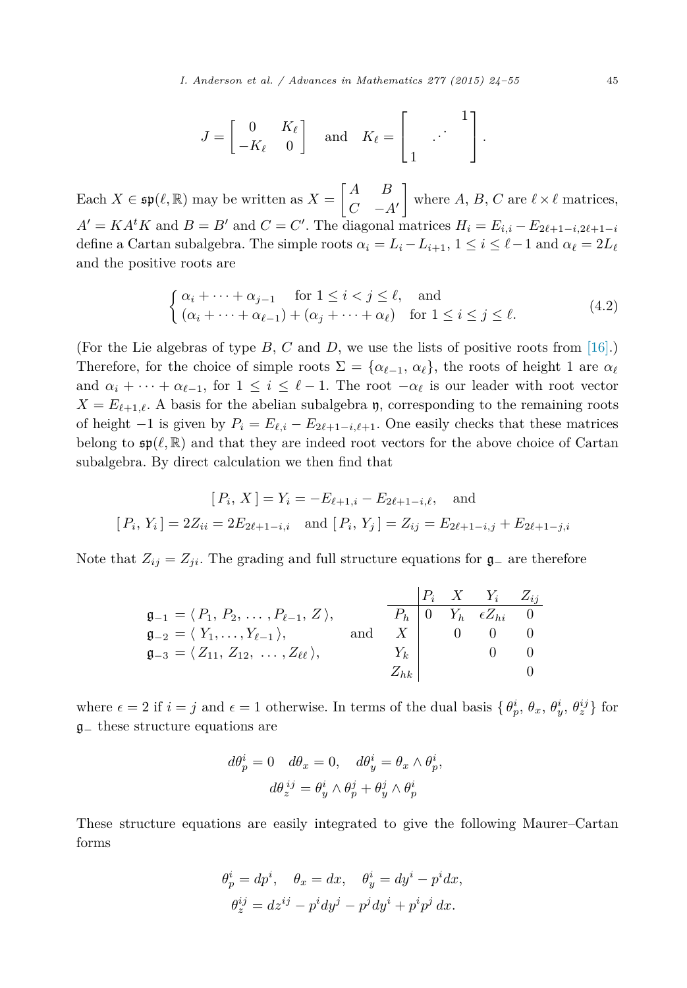$$
J = \begin{bmatrix} 0 & K_{\ell} \\ -K_{\ell} & 0 \end{bmatrix} \text{ and } K_{\ell} = \begin{bmatrix} 1 \\ 1 \end{bmatrix}.
$$

Each  $X \in \mathfrak{sp}(\ell, \mathbb{R})$  may be written as  $X = \begin{bmatrix} A & B \\ C & -A \end{bmatrix}$ *C* −*A* where  $A, B, C$  are  $\ell \times \ell$  matrices,  $A' = KA^t K$  and  $B = B'$  and  $C = C'$ . The diagonal matrices  $H_i = E_{i,i} - E_{2\ell+1-i,2\ell+1-i}$ define a Cartan subalgebra. The simple roots  $\alpha_i = L_i - L_{i+1}, 1 \leq i \leq \ell - 1$  and  $\alpha_{\ell} = 2L_{\ell}$ and the positive roots are

$$
\begin{cases} \alpha_i + \dots + \alpha_{j-1} & \text{for } 1 \le i < j \le \ell, \quad \text{and} \\ (\alpha_i + \dots + \alpha_{\ell-1}) + (\alpha_j + \dots + \alpha_\ell) & \text{for } 1 \le i \le j \le \ell. \end{cases} \tag{4.2}
$$

(For the Lie algebras of type *B*, *C* and *D*, we use the lists of positive roots from [\[16\].](#page-31-0)) Therefore, for the choice of simple roots  $\Sigma = {\alpha_{\ell-1}, \alpha_{\ell}}$ , the roots of height 1 are  $\alpha_{\ell}$ and  $\alpha_i + \cdots + \alpha_{\ell-1}$ , for  $1 \leq i \leq \ell-1$ . The root  $-\alpha_{\ell}$  is our leader with root vector  $X = E_{\ell+1,\ell}$ . A basis for the abelian subalgebra  $\mathfrak{y}$ , corresponding to the remaining roots of height  $-1$  is given by  $P_i = E_{\ell,i} - E_{2\ell+1-i,\ell+1}$ . One easily checks that these matrices belong to  $\mathfrak{sp}(\ell,\mathbb{R})$  and that they are indeed root vectors for the above choice of Cartan subalgebra. By direct calculation we then find that

$$
[P_i, X] = Y_i = -E_{\ell+1,i} - E_{2\ell+1-i,\ell}, \text{ and}
$$
  

$$
[P_i, Y_i] = 2Z_{ii} = 2E_{2\ell+1-i,i} \text{ and } [P_i, Y_j] = Z_{ij} = E_{2\ell+1-i,j} + E_{2\ell+1-j,i}
$$

Note that  $Z_{ij} = Z_{ji}$ . The grading and full structure equations for  $\mathfrak{g}_-$  are therefore

|                                                                             |     |           |  | $P_i$ X $Y_i$ $Z_{ij}$                       |  |
|-----------------------------------------------------------------------------|-----|-----------|--|----------------------------------------------|--|
| $\mathfrak{g}_{-1} = \langle P_1, P_2, \ldots, P_{\ell-1}, Z \rangle,$      |     |           |  | $\overline{P}_h$ 0 $Y_h$ $\epsilon Z_{hi}$ 0 |  |
| $\mathfrak{g}_{-2} = \langle Y_1, \ldots, Y_{\ell-1} \rangle,$              | and | $X \perp$ |  | $0 \qquad 0 \qquad 0$                        |  |
| $\mathfrak{g}_{-3} = \langle Z_{11}, Z_{12}, \ldots, Z_{\ell\ell} \rangle,$ |     | $Y_k$     |  |                                              |  |
|                                                                             |     | $Z_{hk}$  |  |                                              |  |

where  $\epsilon = 2$  if  $i = j$  and  $\epsilon = 1$  otherwise. In terms of the dual basis  $\{\theta_p^i, \theta_x, \theta_y^i, \theta_z^{ij}\}\$  for g<sup>−</sup> these structure equations are

$$
d\theta_p^i = 0 \quad d\theta_x = 0, \quad d\theta_y^i = \theta_x \wedge \theta_p^i,
$$

$$
d\theta_z^{ij} = \theta_y^i \wedge \theta_p^j + \theta_y^j \wedge \theta_p^i
$$

These structure equations are easily integrated to give the following Maurer–Cartan forms

$$
\theta_p^i = dp^i, \quad \theta_x = dx, \quad \theta_y^i = dy^i - p^i dx,
$$
  

$$
\theta_z^{ij} = dz^{ij} - p^i dy^j - p^j dy^i + p^i p^j dx.
$$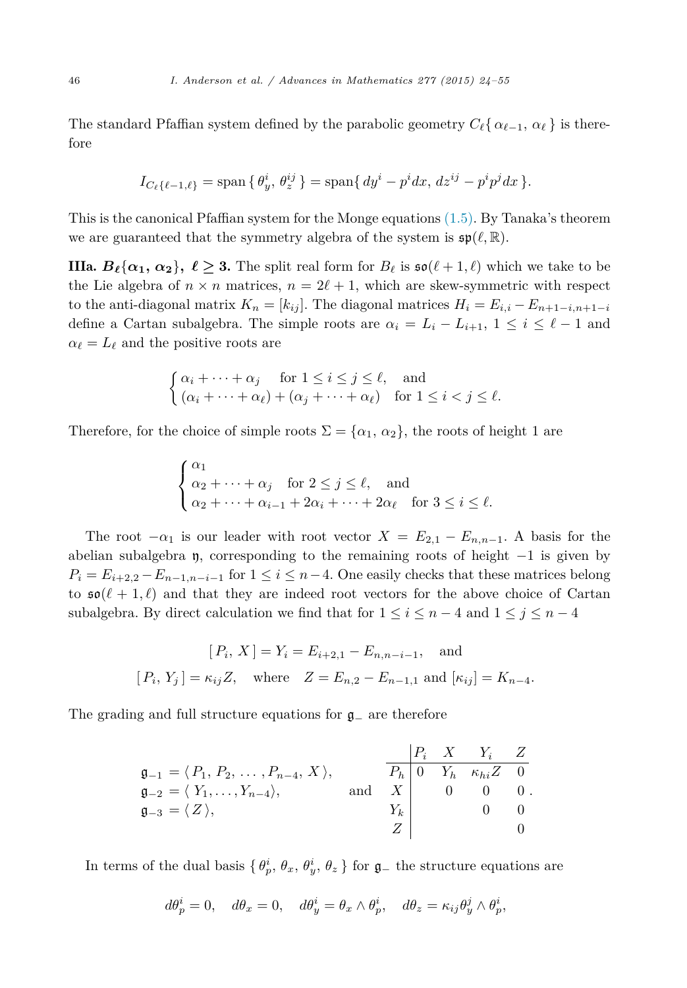The standard Pfaffian system defined by the parabolic geometry  $C_{\ell} \{ \alpha_{\ell-1}, \alpha_{\ell} \}$  is therefore

$$
I_{C_{\ell}\{\ell-1,\ell\}} = \text{span}\{\theta_y^i, \theta_z^{ij}\} = \text{span}\{dy^i - p^i dx, dz^{ij} - p^i p^j dx\}.
$$

This is the canonical Pfaffian system for the Monge equations [\(1.5\).](#page-3-0) By Tanaka's theorem we are guaranteed that the symmetry algebra of the system is  $\mathfrak{sp}(\ell,\mathbb{R})$ .

**IIIa.**  $B_{\ell} {\alpha_1, \alpha_2}$ ,  $\ell \ge 3$ . The split real form for  $B_{\ell}$  is  $\mathfrak{so}(\ell+1,\ell)$  which we take to be the Lie algebra of  $n \times n$  matrices,  $n = 2\ell + 1$ , which are skew-symmetric with respect to the anti-diagonal matrix  $K_n = [k_{ij}]$ . The diagonal matrices  $H_i = E_{i,i} - E_{n+1-i,n+1-i}$ define a Cartan subalgebra. The simple roots are  $\alpha_i = L_i - L_{i+1}, 1 \leq i \leq \ell - 1$  and  $\alpha_{\ell} = L_{\ell}$  and the positive roots are

$$
\begin{cases} \alpha_i + \dots + \alpha_j & \text{for } 1 \le i \le j \le \ell, \text{ and} \\ (\alpha_i + \dots + \alpha_\ell) + (\alpha_j + \dots + \alpha_\ell) & \text{for } 1 \le i < j \le \ell. \end{cases}
$$

Therefore, for the choice of simple roots  $\Sigma = {\alpha_1, \alpha_2}$ , the roots of height 1 are

$$
\begin{cases} \alpha_1 \\ \alpha_2 + \dots + \alpha_j \quad \text{for } 2 \le j \le \ell, \quad \text{and} \\ \alpha_2 + \dots + \alpha_{i-1} + 2\alpha_i + \dots + 2\alpha_\ell \quad \text{for } 3 \le i \le \ell. \end{cases}
$$

The root  $-\alpha_1$  is our leader with root vector  $X = E_{2,1} - E_{n,n-1}$ . A basis for the abelian subalgebra  $\eta$ , corresponding to the remaining roots of height  $-1$  is given by  $P_i = E_{i+2,2} - E_{n-1,n-i-1}$  for  $1 \leq i \leq n-4$ . One easily checks that these matrices belong to  $\mathfrak{so}(\ell+1,\ell)$  and that they are indeed root vectors for the above choice of Cartan subalgebra. By direct calculation we find that for  $1 \leq i \leq n-4$  and  $1 \leq j \leq n-4$ 

$$
[P_i, X] = Y_i = E_{i+2,1} - E_{n,n-i-1}
$$
, and  
\n $[P_i, Y_j] = \kappa_{ij} Z$ , where  $Z = E_{n,2} - E_{n-1,1}$  and  $[\kappa_{ij}] = K_{n-4}$ .

The grading and full structure equations for g<sup>−</sup> are therefore

$$
\begin{array}{ll}\n\mathfrak{g}_{-1} = \langle P_1, P_2, \dots, P_{n-4}, X \rangle, & \overline{P_h} & 0 & Y_h & \kappa_{hi} Z & 0 \\
\mathfrak{g}_{-2} = \langle Y_1, \dots, Y_{n-4} \rangle, & \text{and} & X & 0 & 0 & 0 \\
\mathfrak{g}_{-3} = \langle Z \rangle, & & Y_k & 0 & 0 \\
Z & & & 0 & 0\n\end{array}
$$

In terms of the dual basis  $\{\theta_p^i, \theta_x, \theta_y^i, \theta_z\}$  for  $\mathfrak{g}_-$  the structure equations are

$$
d\theta_p^i=0,\quad d\theta_x=0,\quad d\theta_y^i=\theta_x\wedge\theta_p^i,\quad d\theta_z=\kappa_{ij}\theta_y^j\wedge\theta_p^i,
$$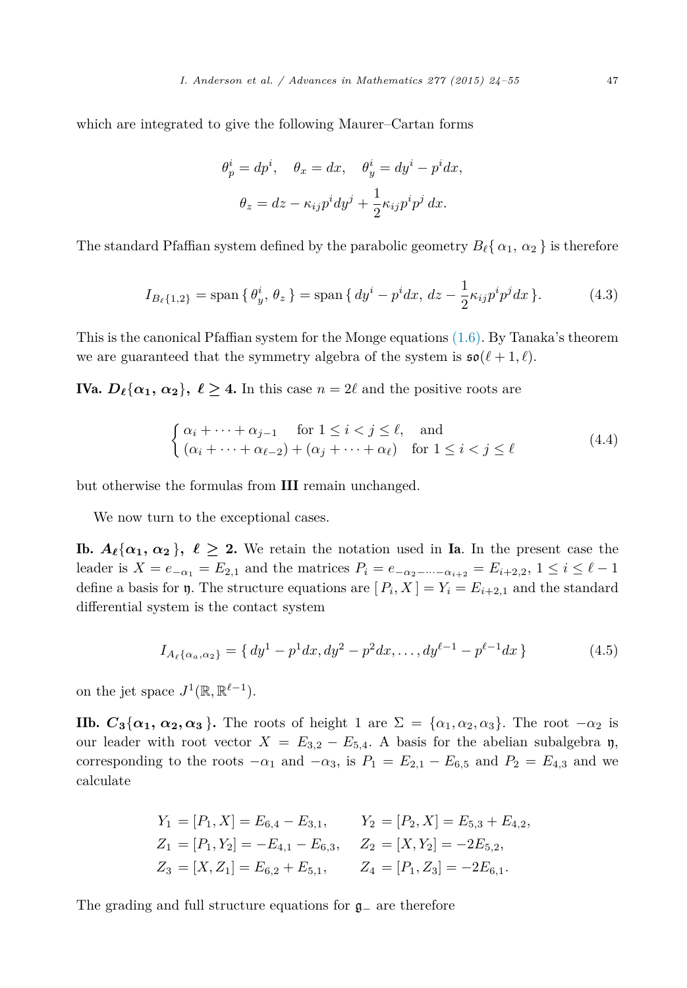which are integrated to give the following Maurer–Cartan forms

$$
\theta_p^i = dp^i, \quad \theta_x = dx, \quad \theta_y^i = dy^i - p^i dx,
$$

$$
\theta_z = dz - \kappa_{ij} p^i dy^j + \frac{1}{2} \kappa_{ij} p^i p^j dx.
$$

The standard Pfaffian system defined by the parabolic geometry  $B_{\ell}$  {  $\alpha_1$  ,  $\alpha_2$  } is therefore

$$
I_{B_{\ell}\{1,2\}} = \text{span}\{\,\theta_y^i,\,\theta_z\,\} = \text{span}\,\{ \, dy^i - p^i dx,\, dz - \frac{1}{2}\kappa_{ij}p^i p^j dx\,\}.
$$
 (4.3)

This is the canonical Pfaffian system for the Monge equations [\(1.6\).](#page-3-0) By Tanaka's theorem we are guaranteed that the symmetry algebra of the system is  $\mathfrak{so}(\ell+1,\ell)$ .

**IVa.**  $D_{\ell} {\alpha_1, \alpha_2}$ ,  $\ell \geq 4$ . In this case  $n = 2\ell$  and the positive roots are

$$
\begin{cases} \alpha_i + \dots + \alpha_{j-1} & \text{for } 1 \le i < j \le \ell, \text{ and} \\ (\alpha_i + \dots + \alpha_{\ell-2}) + (\alpha_j + \dots + \alpha_{\ell}) & \text{for } 1 \le i < j \le \ell \end{cases} \tag{4.4}
$$

but otherwise the formulas from III remain unchanged.

We now turn to the exceptional cases.

**Ib.**  $A_{\ell} {\alpha_1, \alpha_2}$ ,  $\ell \geq 2$ . We retain the notation used in **Ia**. In the present case the leader is  $X = e_{-\alpha_1} = E_{2,1}$  and the matrices  $P_i = e_{-\alpha_2 - \cdots - \alpha_{i+2}} = E_{i+2,2}, 1 \le i \le \ell - 1$ define a basis for **y**. The structure equations are  $[P_i, X] = Y_i = E_{i+2,1}$  and the standard differential system is the contact system

$$
I_{A_{\ell}\{\alpha_a,\alpha_2\}} = \{ dy^1 - p^1 dx, dy^2 - p^2 dx, \dots, dy^{\ell-1} - p^{\ell-1} dx \}
$$
 (4.5)

on the jet space  $J^1(\mathbb{R}, \mathbb{R}^{\ell-1})$ .

**IIb.**  $C_3\{\alpha_1, \alpha_2, \alpha_3\}$ . The roots of height 1 are  $\Sigma = \{\alpha_1, \alpha_2, \alpha_3\}$ . The root  $-\alpha_2$  is our leader with root vector  $X = E_{3,2} - E_{5,4}$ . A basis for the abelian subalgebra y, corresponding to the roots  $-\alpha_1$  and  $-\alpha_3$ , is  $P_1 = E_{2,1} - E_{6,5}$  and  $P_2 = E_{4,3}$  and we calculate

$$
Y_1 = [P_1, X] = E_{6,4} - E_{3,1}, \t Y_2 = [P_2, X] = E_{5,3} + E_{4,2},
$$
  
\n
$$
Z_1 = [P_1, Y_2] = -E_{4,1} - E_{6,3}, \t Z_2 = [X, Y_2] = -2E_{5,2},
$$
  
\n
$$
Z_3 = [X, Z_1] = E_{6,2} + E_{5,1}, \t Z_4 = [P_1, Z_3] = -2E_{6,1}.
$$

The grading and full structure equations for g<sup>−</sup> are therefore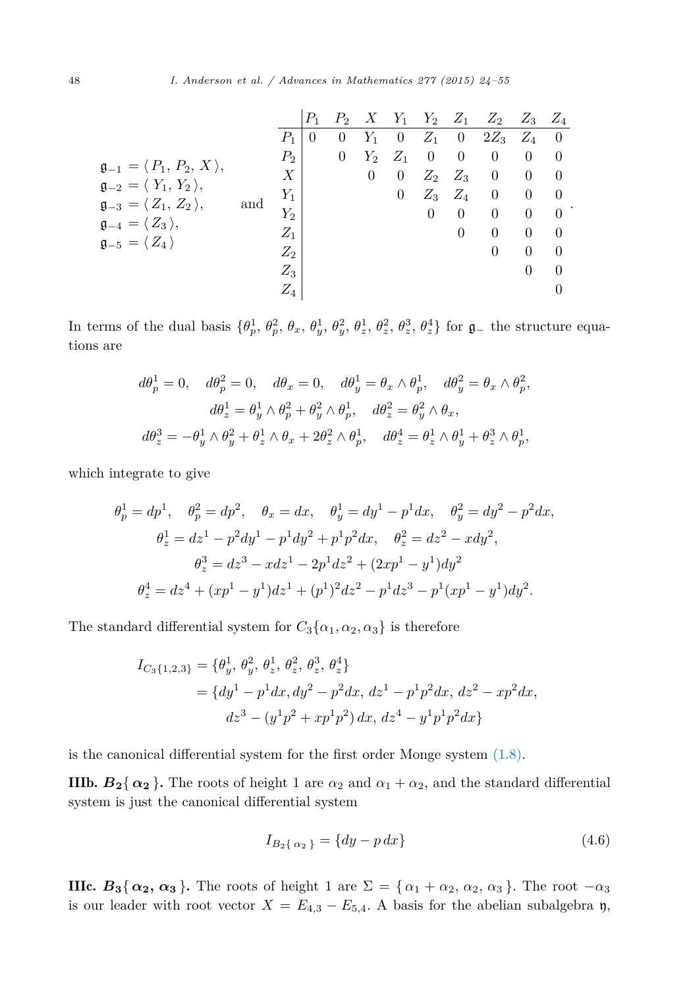|                                                    |     |       | $P_{\rm 1}$ | $P_2$    |          | $X$ $Y_1$      | $Y_2$          | $Z_1$          | $Z_2$          | $Z_3$          | $Z_4$          |
|----------------------------------------------------|-----|-------|-------------|----------|----------|----------------|----------------|----------------|----------------|----------------|----------------|
|                                                    |     | $P_1$ | $\theta$    | $\theta$ | $Y_1$    | $\overline{0}$ | $Z_1$          | $\overline{0}$ | $2Z_3$         | $Z_4$ 0        |                |
|                                                    |     | $P_2$ |             | $\theta$ | $Y_2$    | $Z_1$          | $\overline{0}$ | $\overline{0}$ | $\theta$       | $\theta$       | $\theta$       |
| $\mathfrak{g}_{-1} = \langle P_1, P_2, X \rangle,$ |     | Χ     |             |          | $\theta$ | $\overline{0}$ | $Z_2$          | $Z_3$          | $\overline{0}$ | $\overline{0}$ | $\theta$       |
| $\mathfrak{g}_{-2} = \langle Y_1, Y_2 \rangle,$    |     | $Y_1$ |             |          |          | $\overline{0}$ | $Z_3$          | $Z_4$          | $\overline{0}$ | $\overline{0}$ | $\overline{0}$ |
| $\mathfrak{g}_{-3} = \langle Z_1, Z_2 \rangle,$    | and | $Y_2$ |             |          |          |                | $\theta$       | $\overline{0}$ | $\Omega$       | $\overline{0}$ | $\overline{0}$ |
| $\mathfrak{g}_{-4} = \langle Z_3 \rangle,$         |     | $Z_1$ |             |          |          |                |                | $\theta$       | $\Omega$       | $\theta$       | $\Omega$       |
| $\mathfrak{g}_{-5}=\langle\,Z_4\,\rangle$          |     | $Z_2$ |             |          |          |                |                |                | $\overline{0}$ | $\Omega$       | $\theta$       |
|                                                    |     | $Z_3$ |             |          |          |                |                |                |                | 0              | $\Omega$       |
|                                                    |     | $Z_4$ |             |          |          |                |                |                |                |                | $\theta$       |
|                                                    |     |       |             |          |          |                |                |                |                |                |                |

In terms of the dual basis  $\{\theta_p^1, \theta_p^2, \theta_x, \theta_y^1, \theta_y^2, \theta_z^1, \theta_z^2, \theta_z^3, \theta_z^4\}$  for  $\mathfrak{g}_-$  the structure equations are

$$
d\theta_p^1 = 0, \quad d\theta_p^2 = 0, \quad d\theta_x = 0, \quad d\theta_y^1 = \theta_x \wedge \theta_p^1, \quad d\theta_y^2 = \theta_x \wedge \theta_p^2,
$$
  

$$
d\theta_z^1 = \theta_y^1 \wedge \theta_p^2 + \theta_y^2 \wedge \theta_p^1, \quad d\theta_z^2 = \theta_y^2 \wedge \theta_x,
$$
  

$$
d\theta_z^3 = -\theta_y^1 \wedge \theta_y^2 + \theta_z^1 \wedge \theta_x + 2\theta_z^2 \wedge \theta_p^1, \quad d\theta_z^4 = \theta_z^1 \wedge \theta_y^1 + \theta_z^3 \wedge \theta_p^1,
$$

which integrate to give

$$
\theta_p^1 = dp^1, \quad \theta_p^2 = dp^2, \quad \theta_x = dx, \quad \theta_y^1 = dy^1 - p^1 dx, \quad \theta_y^2 = dy^2 - p^2 dx,
$$
  

$$
\theta_z^1 = dz^1 - p^2 dy^1 - p^1 dy^2 + p^1 p^2 dx, \quad \theta_z^2 = dz^2 - x dy^2,
$$
  

$$
\theta_z^3 = dz^3 - x dz^1 - 2p^1 dz^2 + (2xp^1 - y^1) dy^2
$$
  

$$
\theta_z^4 = dz^4 + (xp^1 - y^1) dz^1 + (p^1)^2 dz^2 - p^1 dz^3 - p^1 (xp^1 - y^1) dy^2.
$$

The standard differential system for  $C_3\{\alpha_1, \alpha_2, \alpha_3\}$  is therefore

$$
I_{C_3\{1,2,3\}} = \{\theta_y^1, \theta_y^2, \theta_z^1, \theta_z^2, \theta_z^3, \theta_z^4\}
$$
  
=  $\{dy^1 - p^1 dx, dy^2 - p^2 dx, dz^1 - p^1 p^2 dx, dz^2 - xp^2 dx,$   

$$
dz^3 - (y^1 p^2 + xp^1 p^2) dx, dz^4 - y^1 p^1 p^2 dx\}
$$

is the canonical differential system for the first order Monge system [\(1.8\).](#page-4-0)

**IIIb.**  $B_2\{\alpha_2\}$ . The roots of height 1 are  $\alpha_2$  and  $\alpha_1 + \alpha_2$ , and the standard differential system is just the canonical differential system

$$
I_{B_2\{\alpha_2\}} = \{dy - p\,dx\} \tag{4.6}
$$

IIIc.  $B_3\{\alpha_2, \alpha_3\}$ . The roots of height 1 are  $\Sigma = \{\alpha_1 + \alpha_2, \alpha_2, \alpha_3\}$ . The root  $-\alpha_3$ is our leader with root vector  $X = E_{4,3} - E_{5,4}$ . A basis for the abelian subalgebra  $\mathfrak{y}$ ,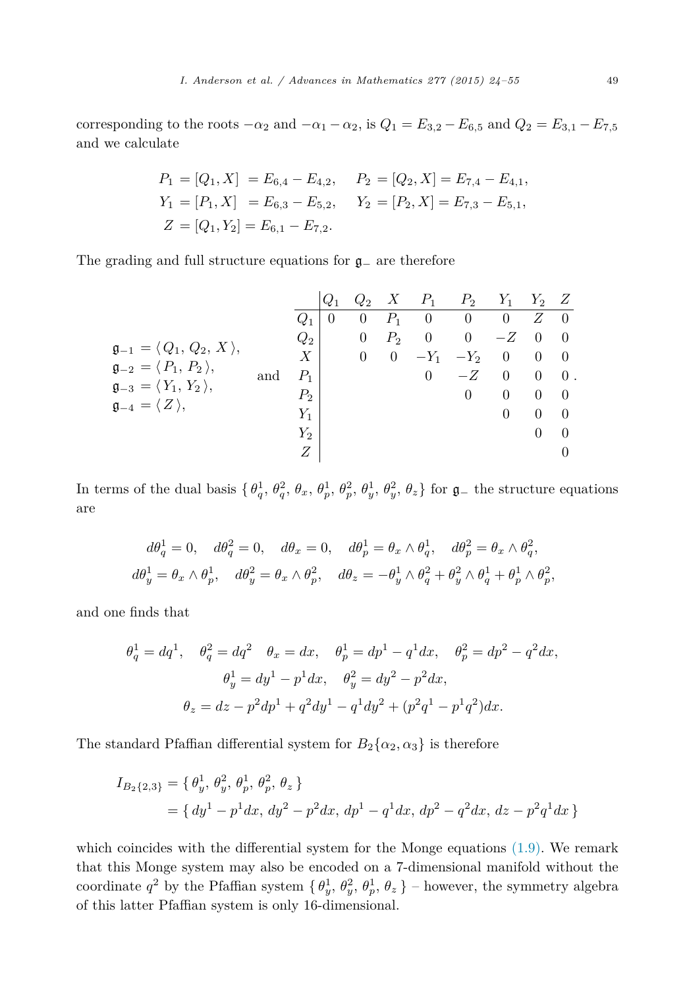corresponding to the roots  $-\alpha_2$  and  $-\alpha_1 - \alpha_2$ , is  $Q_1 = E_{3,2} - E_{6,5}$  and  $Q_2 = E_{3,1} - E_{7,5}$ and we calculate

$$
P_1 = [Q_1, X] = E_{6,4} - E_{4,2}, \quad P_2 = [Q_2, X] = E_{7,4} - E_{4,1},
$$
  
\n
$$
Y_1 = [P_1, X] = E_{6,3} - E_{5,2}, \quad Y_2 = [P_2, X] = E_{7,3} - E_{5,1},
$$
  
\n
$$
Z = [Q_1, Y_2] = E_{6,1} - E_{7,2}.
$$

The grading and full structure equations for g<sup>−</sup> are therefore

$$
\mathfrak{g}_{-1} = \langle Q_1, Q_2, X \rangle,
$$
\n
$$
\mathfrak{g}_{-2} = \langle P_1, P_2 \rangle,
$$
\n
$$
\mathfrak{g}_{-3} = \langle Y_1, Y_2 \rangle,
$$
\nand\n
$$
\mathfrak{g}_{-4} = \langle Z \rangle,
$$
\n
$$
\mathfrak{g}_{-4} = \langle Z \rangle,
$$
\n
$$
\mathfrak{g}_{-4} = \langle Z \rangle,
$$
\n
$$
\mathfrak{g}_{-4} = \langle Z \rangle,
$$
\n
$$
\mathfrak{g}_{-4} = \langle Z \rangle,
$$
\n
$$
\mathfrak{g}_{-4} = \langle Z \rangle,
$$
\n
$$
\mathfrak{g}_{-4} = \langle Z \rangle,
$$
\n
$$
\mathfrak{g}_{-4} = \langle Z \rangle,
$$
\n
$$
\mathfrak{g}_{-4} = \langle Z \rangle,
$$
\n
$$
\mathfrak{g}_{-4} = \langle Z \rangle,
$$
\n
$$
\mathfrak{g}_{-4} = \langle Z \rangle,
$$
\n
$$
\mathfrak{g}_{-4} = \langle Z \rangle,
$$
\n
$$
\mathfrak{g}_{-4} = \langle Z \rangle,
$$
\n
$$
\mathfrak{g}_{-4} = \langle Z \rangle,
$$
\n
$$
\mathfrak{g}_{-4} = \langle Z \rangle,
$$
\n
$$
\mathfrak{g}_{-4} = \langle Z \rangle,
$$
\n
$$
\mathfrak{g}_{-4} = \langle Z \rangle,
$$
\n
$$
\mathfrak{g}_{-4} = \langle Z \rangle,
$$
\n
$$
\mathfrak{g}_{-4} = \langle Z \rangle,
$$
\n
$$
\mathfrak{g}_{-4} = \langle Z \rangle,
$$
\n
$$
\mathfrak{g}_{-4} = \langle Z \rangle,
$$
\n
$$
\mathfrak{g}_{-4} = \langle Z \rangle,
$$
\n
$$
\mathfrak{g}_{-4} = \langle Z \rangle,
$$
\n
$$
\mathfrak{g}_{-4} = \langle Z \rangle,
$$
\n
$$
\mathfrak{g}_{-4} = \langle Z \rangle,
$$
\n
$$
\mathfrak{g}_{-4} = \langle Z \rangle,
$$
\n
$$
\mathfrak{g}_{-4} = \langle
$$

In terms of the dual basis  $\{\theta_q^1, \theta_q^2, \theta_x, \theta_p^1, \theta_p^2, \theta_y^1, \theta_y^2, \theta_z\}$  for  $\mathfrak{g}_-$  the structure equations are

$$
d\theta_q^1 = 0, \quad d\theta_q^2 = 0, \quad d\theta_x = 0, \quad d\theta_p^1 = \theta_x \wedge \theta_q^1, \quad d\theta_p^2 = \theta_x \wedge \theta_q^2,
$$
  

$$
d\theta_y^1 = \theta_x \wedge \theta_p^1, \quad d\theta_y^2 = \theta_x \wedge \theta_p^2, \quad d\theta_z = -\theta_y^1 \wedge \theta_q^2 + \theta_y^2 \wedge \theta_q^1 + \theta_p^1 \wedge \theta_p^2,
$$

and one finds that

$$
\theta_q^1 = dq^1, \quad \theta_q^2 = dq^2 \quad \theta_x = dx, \quad \theta_p^1 = dp^1 - q^1 dx, \quad \theta_p^2 = dp^2 - q^2 dx,
$$
  

$$
\theta_y^1 = dy^1 - p^1 dx, \quad \theta_y^2 = dy^2 - p^2 dx,
$$
  

$$
\theta_z = dz - p^2 dp^1 + q^2 dy^1 - q^1 dy^2 + (p^2 q^1 - p^1 q^2) dx.
$$

The standard Pfaffian differential system for  $B_2\{\alpha_2, \alpha_3\}$  is therefore

$$
I_{B_2\{2,3\}} = \{ \theta_y^1, \theta_y^2, \theta_p^1, \theta_p^2, \theta_z \}
$$
  
=  $\{ dy^1 - p^1 dx, dy^2 - p^2 dx, dp^1 - q^1 dx, dp^2 - q^2 dx, dz - p^2 q^1 dx \}$ 

which coincides with the differential system for the Monge equations  $(1.9)$ . We remark that this Monge system may also be encoded on a 7-dimensional manifold without the coordinate  $q^2$  by the Pfaffian system  $\{\theta_y^1, \theta_y^2, \theta_p^1, \theta_z\}$  – however, the symmetry algebra of this latter Pfaffian system is only 16-dimensional.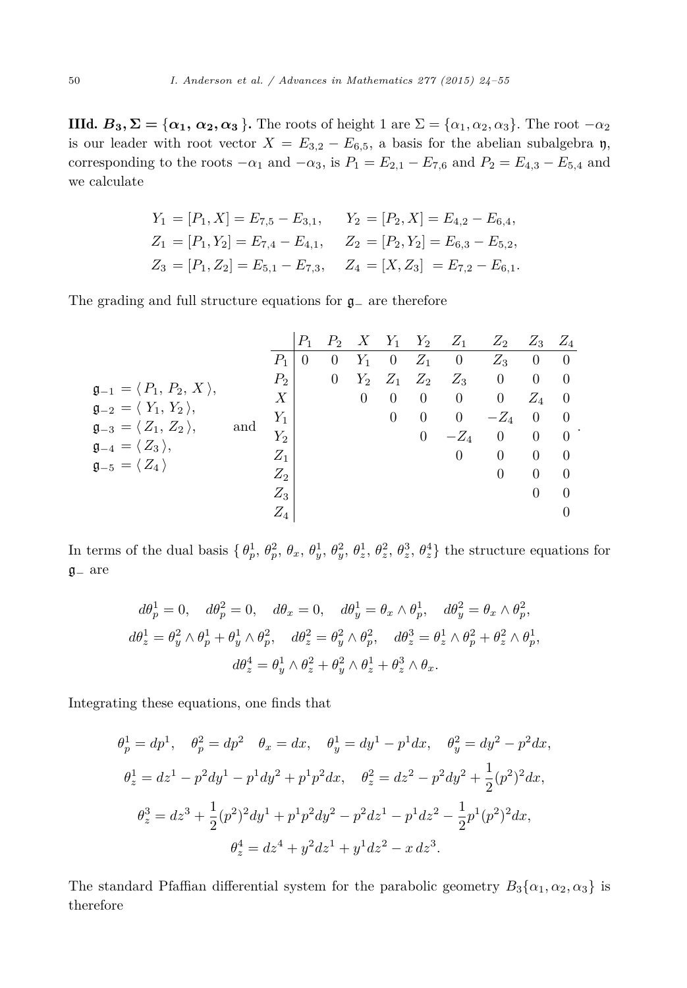IIId.  $B_3$ ,  $\Sigma = {\alpha_1, \alpha_2, \alpha_3}$ . The roots of height 1 are  $\Sigma = {\alpha_1, \alpha_2, \alpha_3}$ . The root  $-\alpha_2$ is our leader with root vector  $X = E_{3,2} - E_{6,5}$ , a basis for the abelian subalgebra  $\eta$ , corresponding to the roots  $-\alpha_1$  and  $-\alpha_3$ , is  $P_1 = E_{2,1} - E_{7,6}$  and  $P_2 = E_{4,3} - E_{5,4}$  and we calculate

$$
Y_1 = [P_1, X] = E_{7,5} - E_{3,1}, \t Y_2 = [P_2, X] = E_{4,2} - E_{6,4},
$$
  
\n
$$
Z_1 = [P_1, Y_2] = E_{7,4} - E_{4,1}, \t Z_2 = [P_2, Y_2] = E_{6,3} - E_{5,2},
$$
  
\n
$$
Z_3 = [P_1, Z_2] = E_{5,1} - E_{7,3}, \t Z_4 = [X, Z_3] = E_{7,2} - E_{6,1}.
$$

The grading and full structure equations for g<sup>−</sup> are therefore

|                                                    |     |                | $P_1$          | $P_2$          | X              | $Y_1$                    | $Y_2$          | $Z_1$          | $Z_2$          | $Z_3$          | $Z_4$              |
|----------------------------------------------------|-----|----------------|----------------|----------------|----------------|--------------------------|----------------|----------------|----------------|----------------|--------------------|
|                                                    |     | $P_1$          | $\overline{0}$ | $\theta$       | $Y_1$          | $\overline{\phantom{0}}$ | $Z_1$          | $\overline{0}$ | $Z_3$          | $\overline{0}$ | $\overline{0}$     |
|                                                    |     | $P_2$          |                | $\overline{0}$ |                | $Y_2 \quad Z_1$          | $Z_2$          | $Z_3$          | $\overline{0}$ | $\theta$       | - 0                |
| $\mathfrak{g}_{-1} = \langle P_1, P_2, X \rangle,$ |     | Χ              |                |                | $\overline{0}$ | -0                       | $\overline{0}$ | $\overline{0}$ | $\overline{0}$ | $Z_4$          | - 0                |
| $\mathfrak{g}_{-2} = \langle Y_1, Y_2 \rangle,$    |     | $Y_1$          |                |                |                | $\theta$                 | $\overline{0}$ | $\overline{0}$ | $-Z_4$         | $\mathbf{0}$   | $\hspace{0.1em} 0$ |
| $\mathfrak{g}_{-3} = \langle Z_1, Z_2 \rangle,$    | and | $Y_2$          |                |                |                |                          | $\overline{0}$ | $-Z_4$         | $\overline{0}$ | $\overline{0}$ | $\overline{0}$     |
| $\mathfrak{g}_{-4} = \langle Z_3 \rangle,$         |     | $Z_1$          |                |                |                |                          |                | $\theta$       | $\theta$       | $\Omega$       | $\theta$           |
| $\mathfrak{g}_{-5}=\langle\,Z_4\,\rangle$          |     | $Z_2$          |                |                |                |                          |                |                | $\theta$       | $\Omega$       | $\Omega$           |
|                                                    |     | $Z_3$          |                |                |                |                          |                |                |                | 0              | $\Omega$           |
|                                                    |     | $\mathbb{Z}_4$ |                |                |                |                          |                |                |                |                | $\theta$           |
|                                                    |     |                |                |                |                |                          |                |                |                |                |                    |

*.*

In terms of the dual basis  $\{\theta_p^1, \theta_p^2, \theta_x, \theta_y^1, \theta_y^2, \theta_z^1, \theta_z^2, \theta_z^3, \theta_z^4\}$  the structure equations for g<sup>−</sup> are

$$
d\theta_p^1 = 0, \quad d\theta_p^2 = 0, \quad d\theta_x = 0, \quad d\theta_y^1 = \theta_x \wedge \theta_p^1, \quad d\theta_y^2 = \theta_x \wedge \theta_p^2,
$$
  

$$
d\theta_z^1 = \theta_y^2 \wedge \theta_p^1 + \theta_y^1 \wedge \theta_p^2, \quad d\theta_z^2 = \theta_y^2 \wedge \theta_p^2, \quad d\theta_z^3 = \theta_z^1 \wedge \theta_p^2 + \theta_z^2 \wedge \theta_p^1,
$$
  

$$
d\theta_z^4 = \theta_y^1 \wedge \theta_z^2 + \theta_y^2 \wedge \theta_z^1 + \theta_z^3 \wedge \theta_x.
$$

Integrating these equations, one finds that

$$
\theta_p^1 = dp^1, \quad \theta_p^2 = dp^2 \quad \theta_x = dx, \quad \theta_y^1 = dy^1 - p^1 dx, \quad \theta_y^2 = dy^2 - p^2 dx,
$$
  

$$
\theta_z^1 = dz^1 - p^2 dy^1 - p^1 dy^2 + p^1 p^2 dx, \quad \theta_z^2 = dz^2 - p^2 dy^2 + \frac{1}{2} (p^2)^2 dx,
$$
  

$$
\theta_z^3 = dz^3 + \frac{1}{2} (p^2)^2 dy^1 + p^1 p^2 dy^2 - p^2 dz^1 - p^1 dz^2 - \frac{1}{2} p^1 (p^2)^2 dx,
$$
  

$$
\theta_z^4 = dz^4 + y^2 dz^1 + y^1 dz^2 - x dz^3.
$$

The standard Pfaffian differential system for the parabolic geometry  $B_3\{\alpha_1, \alpha_2, \alpha_3\}$  is therefore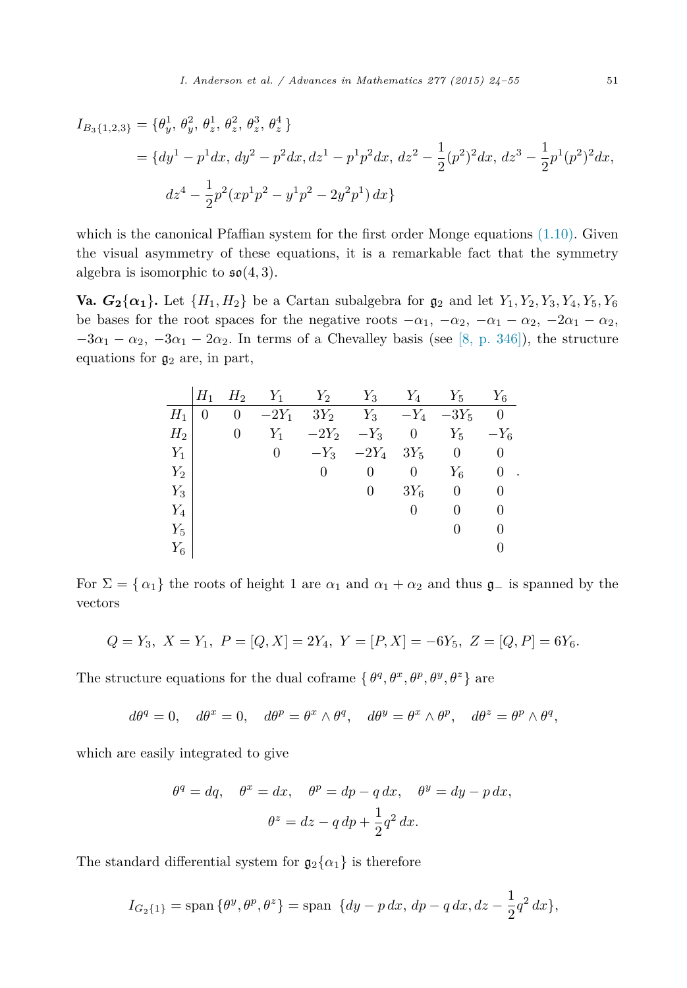$$
I_{B_3\{1,2,3\}} = \{\theta_y^1, \theta_y^2, \theta_z^1, \theta_z^2, \theta_z^3, \theta_z^4\}
$$
  
=  $\{dy^1 - p^1 dx, dy^2 - p^2 dx, dz^1 - p^1 p^2 dx, dz^2 - \frac{1}{2}(p^2)^2 dx, dz^3 - \frac{1}{2}p^1 (p^2)^2 dx,$   

$$
dz^4 - \frac{1}{2}p^2 (xp^1p^2 - y^1p^2 - 2y^2p^1) dx\}
$$

which is the canonical Pfaffian system for the first order Monge equations  $(1.10)$ . Given the visual asymmetry of these equations, it is a remarkable fact that the symmetry algebra is isomorphic to  $\mathfrak{so}(4,3)$ .

**Va.**  $G_2\{\alpha_1\}$ . Let  $\{H_1, H_2\}$  be a Cartan subalgebra for  $\mathfrak{g}_2$  and let  $Y_1, Y_2, Y_3, Y_4, Y_5, Y_6$ be bases for the root spaces for the negative roots  $-\alpha_1$ ,  $-\alpha_2$ ,  $-\alpha_1 - \alpha_2$ ,  $-2\alpha_1 - \alpha_2$ ,  $-3\alpha_1 - \alpha_2$ ,  $-3\alpha_1 - 2\alpha_2$ . In terms of a Chevalley basis (see [8, [p. 346\]\)](#page-30-0), the structure equations for  $\mathfrak{g}_2$  are, in part,

|       | $H_1$ | $H_2$ | $Y_1$          | $Y_2$   | $Y_3$        | $Y_4$          | $Y_5$    | $Y_6$                     |
|-------|-------|-------|----------------|---------|--------------|----------------|----------|---------------------------|
| $H_1$ | 0     | 0     | $-2Y_1$        |         | $3Y_2$ $Y_3$ | $-Y_4$         | $-3Y_5$  | $\theta$                  |
| $H_2$ |       | 0     | $Y_1$          | $-2Y_2$ | $-Y_3$       | $\overline{0}$ | $Y_5$    | $-Y_6$                    |
| $Y_1$ |       |       | $\overline{0}$ | $-Y_3$  | $-2Y_4$      | $3Y_5$         | $\theta$ | 0                         |
| $Y_2$ |       |       |                | 0       | 0            | 0              | $Y_6$    | 0<br>$\ddot{\phantom{a}}$ |
| $Y_3$ |       |       |                |         | $\theta$     | $3Y_6$         | 0        | 0                         |
| $Y_4$ |       |       |                |         |              | $\theta$       | $\theta$ | 0                         |
| $Y_5$ |       |       |                |         |              |                | $\theta$ | 0                         |
| $Y_6$ |       |       |                |         |              |                |          |                           |

For  $\Sigma = \{\alpha_1\}$  the roots of height 1 are  $\alpha_1$  and  $\alpha_1 + \alpha_2$  and thus  $\mathfrak{g}_-$  is spanned by the vectors

$$
Q = Y_3, \ X = Y_1, \ P = [Q, X] = 2Y_4, \ Y = [P, X] = -6Y_5, \ Z = [Q, P] = 6Y_6.
$$

The structure equations for the dual coframe  $\{\theta^q, \theta^x, \theta^p, \theta^y, \theta^z\}$  are

$$
d\theta^q = 0
$$
,  $d\theta^x = 0$ ,  $d\theta^p = \theta^x \wedge \theta^q$ ,  $d\theta^y = \theta^x \wedge \theta^p$ ,  $d\theta^z = \theta^p \wedge \theta^q$ ,

which are easily integrated to give

$$
\theta^q = dq, \quad \theta^x = dx, \quad \theta^p = dp - q \, dx, \quad \theta^y = dy - p \, dx,
$$

$$
\theta^z = dz - q \, dp + \frac{1}{2} q^2 \, dx.
$$

The standard differential system for  $\mathfrak{g}_2\{\alpha_1\}$  is therefore

$$
I_{G_2\{1\}} = \text{span}\{\theta^y, \theta^p, \theta^z\} = \text{span}\ \{dy - p\,dx, \,dp - q\,dx, dz - \frac{1}{2}q^2\,dx\},\
$$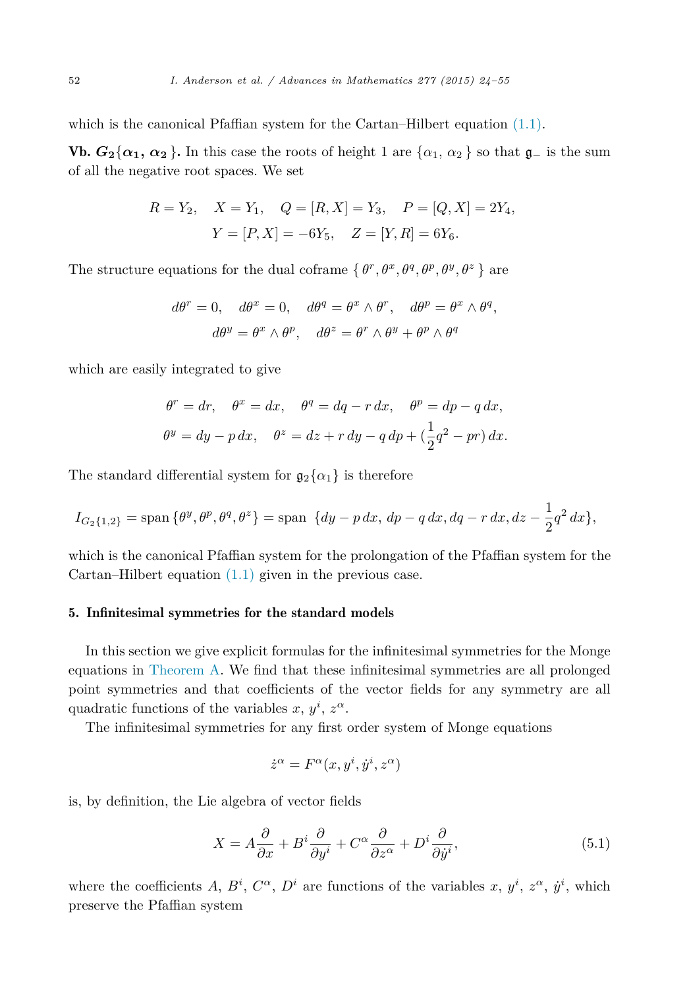<span id="page-28-0"></span>which is the canonical Pfaffian system for the Cartan–Hilbert equation [\(1.1\).](#page-1-0)

Vb.  $G_2\{\alpha_1, \alpha_2\}$ . In this case the roots of height 1 are  $\{\alpha_1, \alpha_2\}$  so that  $\mathfrak{g}_-$  is the sum of all the negative root spaces. We set

$$
R = Y_2
$$
,  $X = Y_1$ ,  $Q = [R, X] = Y_3$ ,  $P = [Q, X] = 2Y_4$ ,  
 $Y = [P, X] = -6Y_5$ ,  $Z = [Y, R] = 6Y_6$ .

The structure equations for the dual coframe  $\{\theta^r, \theta^x, \theta^q, \theta^p, \theta^y, \theta^z\}$  are

$$
d\theta^r = 0, \quad d\theta^x = 0, \quad d\theta^q = \theta^x \wedge \theta^r, \quad d\theta^p = \theta^x \wedge \theta^q,
$$

$$
d\theta^y = \theta^x \wedge \theta^p, \quad d\theta^z = \theta^r \wedge \theta^y + \theta^p \wedge \theta^q
$$

which are easily integrated to give

$$
\theta^r = dr, \quad \theta^x = dx, \quad \theta^q = dq - r \, dx, \quad \theta^p = dp - q \, dx,
$$
  

$$
\theta^y = dy - p \, dx, \quad \theta^z = dz + r \, dy - q \, dp + \left(\frac{1}{2}q^2 - pr\right) dx.
$$

The standard differential system for  $\mathfrak{g}_2\{\alpha_1\}$  is therefore

$$
I_{G_2\{1,2\}} = \text{span}\{\theta^y, \theta^p, \theta^q, \theta^z\} = \text{span}\ \{dy - p\,dx, \,dp - q\,dx, dq - r\,dx, dz - \frac{1}{2}q^2\,dx\},\
$$

which is the canonical Pfaffian system for the prolongation of the Pfaffian system for the Cartan–Hilbert equation  $(1.1)$  given in the previous case.

#### 5. Infinitesimal symmetries for the standard models

In this section we give explicit formulas for the infinitesimal symmetries for the Monge equations in [Theorem A.](#page-3-0) We find that these infinitesimal symmetries are all prolonged point symmetries and that coefficients of the vector fields for any symmetry are all quadratic functions of the variables  $x, y^i, z^{\alpha}$ .

The infinitesimal symmetries for any first order system of Monge equations

$$
\dot{z}^{\alpha} = F^{\alpha}(x, y^i, \dot{y}^i, z^{\alpha})
$$

is, by definition, the Lie algebra of vector fields

$$
X = A\frac{\partial}{\partial x} + B^i \frac{\partial}{\partial y^i} + C^\alpha \frac{\partial}{\partial z^\alpha} + D^i \frac{\partial}{\partial \dot{y}^i},\tag{5.1}
$$

where the coefficients A,  $B^i$ ,  $C^{\alpha}$ ,  $D^i$  are functions of the variables x,  $y^i$ ,  $z^{\alpha}$ ,  $\dot{y}^i$ , which preserve the Pfaffian system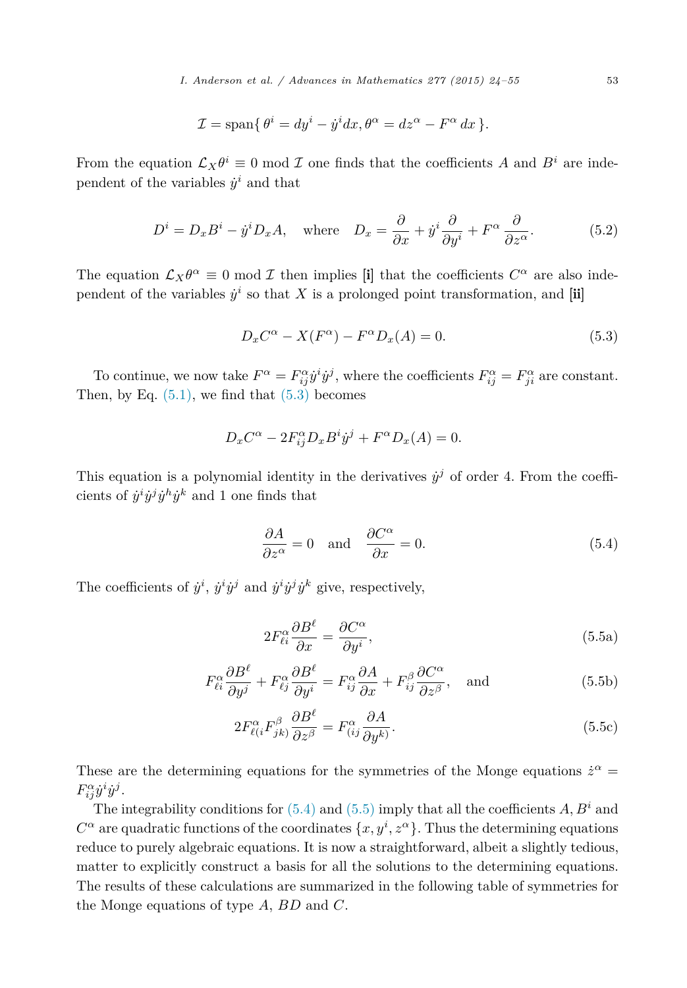$$
\mathcal{I} = \text{span}\{\theta^i = dy^i - y^i dx, \theta^\alpha = dz^\alpha - F^\alpha dx\}.
$$

From the equation  $\mathcal{L}_X \theta^i \equiv 0 \text{ mod } \mathcal{I}$  one finds that the coefficients *A* and  $B^i$  are independent of the variables  $\dot{y}^i$  and that

$$
D^{i} = D_{x}B^{i} - \dot{y}^{i}D_{x}A, \text{ where } D_{x} = \frac{\partial}{\partial x} + \dot{y}^{i}\frac{\partial}{\partial y^{i}} + F^{\alpha}\frac{\partial}{\partial z^{\alpha}}.
$$
 (5.2)

The equation  $\mathcal{L}_X\theta^\alpha \equiv 0 \mod \mathcal{I}$  then implies [i] that the coefficients  $C^\alpha$  are also independent of the variables  $\dot{y}^i$  so that X is a prolonged point transformation, and  $[\mathbf{ii}]$ 

$$
D_x C^{\alpha} - X(F^{\alpha}) - F^{\alpha} D_x(A) = 0.
$$
\n
$$
(5.3)
$$

To continue, we now take  $F^{\alpha} = F^{\alpha}_{ij} \dot{y}^{i} \dot{y}^{j}$ , where the coefficients  $F^{\alpha}_{ij} = F^{\alpha}_{ji}$  are constant. Then, by Eq.  $(5.1)$ , we find that  $(5.3)$  becomes

$$
D_x C^{\alpha} - 2F_{ij}^{\alpha} D_x B^i \dot{y}^j + F^{\alpha} D_x(A) = 0.
$$

This equation is a polynomial identity in the derivatives  $\dot{y}^j$  of order 4. From the coefficients of  $\dot{y}^i \dot{y}^j \dot{y}^h \dot{y}^k$  and 1 one finds that

$$
\frac{\partial A}{\partial z^{\alpha}} = 0 \quad \text{and} \quad \frac{\partial C^{\alpha}}{\partial x} = 0. \tag{5.4}
$$

The coefficients of  $\dot{y}^i$ ,  $\dot{y}^i \dot{y}^j$  and  $\dot{y}^i \dot{y}^j \dot{y}^k$  give, respectively,

$$
2F_{\ell i}^{\alpha} \frac{\partial B^{\ell}}{\partial x} = \frac{\partial C^{\alpha}}{\partial y^{i}},\tag{5.5a}
$$

$$
F_{\ell i}^{\alpha} \frac{\partial B^{\ell}}{\partial y^{j}} + F_{\ell j}^{\alpha} \frac{\partial B^{\ell}}{\partial y^{i}} = F_{ij}^{\alpha} \frac{\partial A}{\partial x} + F_{ij}^{\beta} \frac{\partial C^{\alpha}}{\partial z^{\beta}}, \text{ and}
$$
 (5.5b)

$$
2F_{\ell(i}^{\alpha}F_{jk}^{\beta}\frac{\partial B^{\ell}}{\partial z^{\beta}} = F_{(ij}^{\alpha}\frac{\partial A}{\partial y^k)}.
$$
\n(5.5c)

These are the determining equations for the symmetries of the Monge equations  $\dot{z}^{\alpha}$  =  $F_{ij}^{\alpha} \dot{y}^i \dot{y}^j$ .

The integrability conditions for  $(5.4)$  and  $(5.5)$  imply that all the coefficients *A*,  $B^i$  and  $C^{\alpha}$  are quadratic functions of the coordinates  $\{x, y^i, z^{\alpha}\}$ . Thus the determining equations reduce to purely algebraic equations. It is now a straightforward, albeit a slightly tedious, matter to explicitly construct a basis for all the solutions to the determining equations. The results of these calculations are summarized in the following table of symmetries for the Monge equations of type *A*, *BD* and *C*.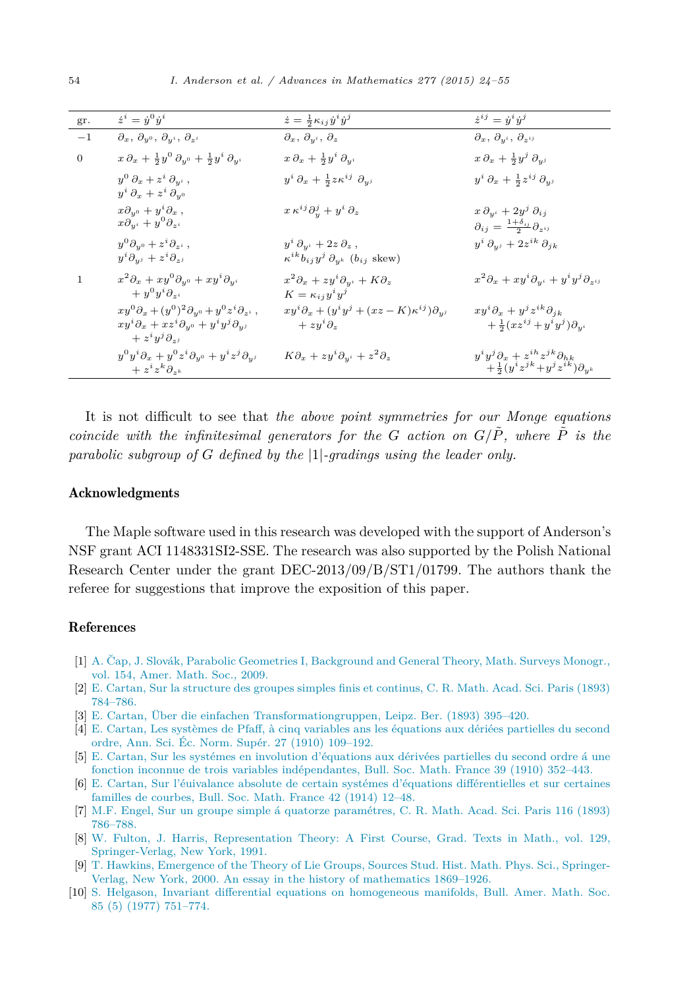<span id="page-30-0"></span>

| gr.            | $\dot{z}^i = \dot{y}^0 \dot{y}^i$                                                                                                                        | $\dot{z} = \frac{1}{2} \kappa_{ij} \dot{y}^i \dot{y}^j$                                                              | $\dot{z}^{ij}=\dot{y}^{i}\dot{y}^{j}$                                                                        |
|----------------|----------------------------------------------------------------------------------------------------------------------------------------------------------|----------------------------------------------------------------------------------------------------------------------|--------------------------------------------------------------------------------------------------------------|
| $-1$           | $\partial_x, \ \partial_{y^0}, \ \partial_{y^i}, \ \partial_{z^i}$                                                                                       | $\partial_x, \, \partial_{y^i}, \, \partial_z$                                                                       | $\partial_x, \ \partial_{y^i}, \ \partial_{z^{ij}}$                                                          |
| $\overline{0}$ | $x\,\partial_x + \frac{1}{2}y^0\,\partial_{y^0} + \frac{1}{2}y^i\,\partial_{y^i}$                                                                        | $x\,\partial_x + \frac{1}{2}y^i\,\partial_{y^i}$                                                                     | $x\,\partial_x + \frac{1}{2}y^j\,\partial_{y^j}$                                                             |
|                | $y^0 \partial_x + z^i \partial_{y^i}$ ,<br>$y^i \partial_x + z^i \partial_{y^0}$                                                                         | $y^i \partial_x + \frac{1}{2} z \kappa^{ij} \partial_{y^j}$                                                          | $y^i \partial_x + \frac{1}{2} z^{ij} \partial_{y^j}$                                                         |
|                | $x\partial_{y^0} + y^i \partial_x$ ,<br>$x\check{\partial_y}^i + y^0\partial_{z^i}$                                                                      | $x \kappa^{ij} \partial_y^j + y^i \partial_z$                                                                        | $x \, \partial_{y^i} + 2y^j \, \partial_{ij}$<br>$\partial_{ij} = \frac{1+\delta_{ij}}{2} \partial_{z^{ij}}$ |
|                | $y^0\partial_{y^0}+z^i\partial_{z^i}\,,$<br>$y^i\partial_{y^j}+z^i\partial_{z^j}$                                                                        | $y^i \partial_{y^i} + 2z \partial_z$ ,<br>$\kappa^{ik}b_{ij}y^j\,\partial_{y^k}\, \left(b_{ij}\,\,{\rm skew}\right)$ | $y^i\,\partial_{y^j}+2z^{ik}\,\partial_{jk}$                                                                 |
| $\mathbf{1}$   | $x^2\partial_x+xy^0\partial_{y^0}+xy^i\partial_{y^i}$<br>$+ y^0 y^i \partial_{z^i}$                                                                      | $x^2\partial_x+zy^i\partial_{y^i}+K\partial_z$<br>$K = \kappa_{ij} y^i y^j$                                          | $x^2\partial_x+xy^i\partial_{y^i}+y^iy^j\partial_{z^{ij}}$                                                   |
|                | $xy^0\partial_x+(y^0)^2\partial_{y^0}+y^0z^i\partial_{z^i}\;,$<br>$xy^i\partial_x+xz^i\partial_{y^0}+y^iy^j\partial_{y^j}$<br>$+ z^i y^j \partial_{z^j}$ | $xy^{i}\partial_{x}+(y^{i}y^{j}+(xz-K)\kappa^{ij})\partial_{y^{j}}$<br>$+ zy^{i}\partial_z$                          | $x y^i \partial_x + y^j z^{ik} \partial_{jk}$<br>$+\frac{1}{2}(xz^{ij}+y^iy^j)\partial_{y^i}$                |
|                | $y^0 y^i \partial_x + y^0 z^i \partial_{y^0} + y^i z^j \partial_{y^j}$<br>$+ z^i z^k \partial_{z^k}$                                                     | $K\partial_x + zy^i\partial_{y^i} + z^2\partial_z$                                                                   | $y^i y^j \partial_x + z^{ih} z^{jk} \partial_{hk}$<br>$+\frac{1}{2}(y^iz^{jk}+y^jz^{ik})\partial_{y^k}$      |

It is not difficult to see that *the above point symmetries for our Monge equations coincide* with the *infinitesimal* generators for the G action on  $G/\tilde{P}$ , where  $\tilde{P}$  is the *parabolic subgroup of G defined by the* |1|*-gradings using the leader only.*

# Acknowledgments

The Maple software used in this research was developed with the support of Anderson's NSF grant ACI 1148331SI2-SSE. The research was also supported by the Polish National Research Center under the grant DEC-2013/09/B/ST1/01799. The authors thank the referee for suggestions that improve the exposition of this paper.

## References

- [1] A. Čap, J. Slovák, Parabolic Geometries I, [Background](http://refhub.elsevier.com/S0001-8708(15)00076-6/bib6361702D736C6F76616B3A3230303961s1) and General Theory, Math. Surveys Monogr., [vol. 154,](http://refhub.elsevier.com/S0001-8708(15)00076-6/bib6361702D736C6F76616B3A3230303961s1) Amer. Math. Soc., 2009.
- [2] E. Cartan, Sur la [structure](http://refhub.elsevier.com/S0001-8708(15)00076-6/bib63617274616E3A3138393361s1) des groupes simples finis et continus, C. R. Math. Acad. Sci. Paris (1893) [784–786.](http://refhub.elsevier.com/S0001-8708(15)00076-6/bib63617274616E3A3138393361s1)
- [3] E. Cartan, Über die einfachen [Transformationgruppen,](http://refhub.elsevier.com/S0001-8708(15)00076-6/bib63617274616E3A3138393362s1) Leipz. Ber. (1893) 395–420.
- [4] E. Cartan, Les systèmes de Pfaff, à cinq variables ans les [équations](http://refhub.elsevier.com/S0001-8708(15)00076-6/bib63617274616E3A3139313061s1) aux dériées partielles du second ordre, Ann. Sci. Éc. Norm. Supér. 27 (1910) [109–192.](http://refhub.elsevier.com/S0001-8708(15)00076-6/bib63617274616E3A3139313061s1)
- [5] E. Cartan, Sur les systémes en involution [d'équations](http://refhub.elsevier.com/S0001-8708(15)00076-6/bib63617274616E3A3139313161s1) aux dérivées partielles du second ordre á une fonction inconnue de trois variables [indépendantes,](http://refhub.elsevier.com/S0001-8708(15)00076-6/bib63617274616E3A3139313161s1) Bull. Soc. Math. France 39 (1910) 352–443.
- [6] E. Cartan, Sur l'éuivalance absolute de certain systémes d'équations [différentielles](http://refhub.elsevier.com/S0001-8708(15)00076-6/bib63617274616E3A3139313461s1) et sur certaines familles de [courbes,](http://refhub.elsevier.com/S0001-8708(15)00076-6/bib63617274616E3A3139313461s1) Bull. Soc. Math. France 42 (1914) 12–48.
- [7] M.F. Engel, Sur un groupe simple á quatorze [paramétres,](http://refhub.elsevier.com/S0001-8708(15)00076-6/bib656E67656C3A3138393361s1) C. R. Math. Acad. Sci. Paris 116 (1893) [786–788.](http://refhub.elsevier.com/S0001-8708(15)00076-6/bib656E67656C3A3138393361s1)
- [8] W. Fulton, J. Harris, [Representation](http://refhub.elsevier.com/S0001-8708(15)00076-6/bib66756C746F6E2D6861727269733A3139393161s1) Theory: A First Course, Grad. Texts in Math., vol. 129, [Springer-Verlag,](http://refhub.elsevier.com/S0001-8708(15)00076-6/bib66756C746F6E2D6861727269733A3139393161s1) New York, 1991.
- [9] T. Hawkins, [Emergence](http://refhub.elsevier.com/S0001-8708(15)00076-6/bib6861776B696E73s1) of the Theory of Lie Groups, Sources Stud. Hist. Math. Phys. Sci., Springer-Verlag, New York, 2000. An essay in the history of [mathematics](http://refhub.elsevier.com/S0001-8708(15)00076-6/bib6861776B696E73s1) 1869–1926.
- [10] S. Helgason, Invariant differential equations on [homogeneous](http://refhub.elsevier.com/S0001-8708(15)00076-6/bib68656C6761736F6E3A3139373761s1) manifolds, Bull. Amer. Math. Soc. 85 (5) (1977) [751–774.](http://refhub.elsevier.com/S0001-8708(15)00076-6/bib68656C6761736F6E3A3139373761s1)